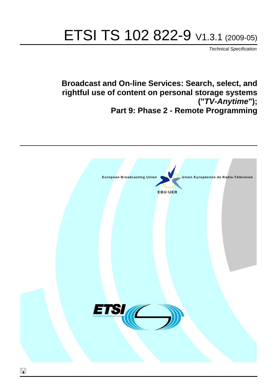# ETSI TS 102 822-9 V1.3.1 (2009-05)

*Technical Specification*

**Broadcast and On-line Services: Search, select, and rightful use of content on personal storage systems ("***TV-Anytime***"); Part 9: Phase 2 - Remote Programming**

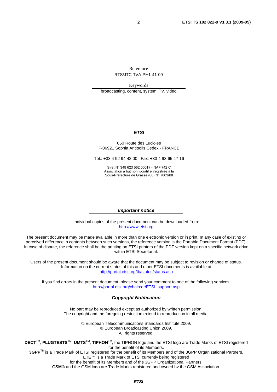Reference

RTS/JTC-TVA-PH1-41-09

Keywords broadcasting, content, system, TV, video

#### *ETSI*

#### 650 Route des Lucioles F-06921 Sophia Antipolis Cedex - FRANCE

Tel.: +33 4 92 94 42 00 Fax: +33 4 93 65 47 16

Siret N° 348 623 562 00017 - NAF 742 C Association à but non lucratif enregistrée à la Sous-Préfecture de Grasse (06) N° 7803/88

#### *Important notice*

Individual copies of the present document can be downloaded from: [http://www.etsi.org](http://www.etsi.org/)

The present document may be made available in more than one electronic version or in print. In any case of existing or perceived difference in contents between such versions, the reference version is the Portable Document Format (PDF). In case of dispute, the reference shall be the printing on ETSI printers of the PDF version kept on a specific network drive within ETSI Secretariat.

Users of the present document should be aware that the document may be subject to revision or change of status. Information on the current status of this and other ETSI documents is available at <http://portal.etsi.org/tb/status/status.asp>

If you find errors in the present document, please send your comment to one of the following services: [http://portal.etsi.org/chaircor/ETSI\\_support.asp](http://portal.etsi.org/chaircor/ETSI_support.asp)

#### *Copyright Notification*

No part may be reproduced except as authorized by written permission. The copyright and the foregoing restriction extend to reproduction in all media.

> © European Telecommunications Standards Institute 2009. © European Broadcasting Union 2009. All rights reserved.

**DECT**TM, **PLUGTESTS**TM, **UMTS**TM, **TIPHON**TM, the TIPHON logo and the ETSI logo are Trade Marks of ETSI registered for the benefit of its Members. **3GPP**TM is a Trade Mark of ETSI registered for the benefit of its Members and of the 3GPP Organizational Partners.

**LTE**™ is a Trade Mark of ETSI currently being registered

for the benefit of its Members and of the 3GPP Organizational Partners.

**GSM**® and the GSM logo are Trade Marks registered and owned by the GSM Association.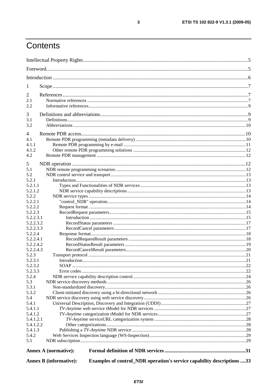# Contents

| 1<br>2<br>2.1<br>2.2<br>3<br>3.1<br>3.2                                                                 |
|---------------------------------------------------------------------------------------------------------|
|                                                                                                         |
|                                                                                                         |
|                                                                                                         |
|                                                                                                         |
|                                                                                                         |
|                                                                                                         |
|                                                                                                         |
|                                                                                                         |
|                                                                                                         |
|                                                                                                         |
| $\overline{4}$                                                                                          |
| 4.1                                                                                                     |
| 4.1.1                                                                                                   |
| 4.1.2                                                                                                   |
| 4.2                                                                                                     |
|                                                                                                         |
| 5                                                                                                       |
| 5.1<br>5.2                                                                                              |
| 5.2.1                                                                                                   |
| 5.2.1.1                                                                                                 |
| 5.2.1.2                                                                                                 |
| 5.2.2                                                                                                   |
| 5.2.2.1                                                                                                 |
| 5.2.2.2                                                                                                 |
| 5.2.2.3                                                                                                 |
| 5.2.2.3.1                                                                                               |
| 5.2.2.3.2                                                                                               |
| 5.2.2.3.3                                                                                               |
| 5.2.2.4                                                                                                 |
| 5.2.2.4.1                                                                                               |
| 5.2.2.4.2                                                                                               |
| 5.2.2.4.3                                                                                               |
| 5.2.3                                                                                                   |
| 5.2.3.1                                                                                                 |
| 5.2.3.2                                                                                                 |
| 5.2.3.3                                                                                                 |
| 5.2.4<br>5.3                                                                                            |
| 5.3.1                                                                                                   |
| 5.3.2                                                                                                   |
| 5.4                                                                                                     |
| 5.4.1                                                                                                   |
| 5.4.1.1                                                                                                 |
| 5.4.1.2                                                                                                 |
| 5.4.1.2.1                                                                                               |
| 5.4.1.2.2                                                                                               |
| 5.4.1.3                                                                                                 |
| 5.4.2                                                                                                   |
| 5.5                                                                                                     |
| Annex A (normative):                                                                                    |
| Examples of control_NDR operation's service capability descriptions 33<br><b>Annex B</b> (informative): |

 $\mathbf{3}$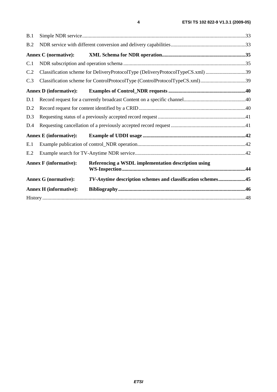| B.1 |                                                                                |                                                                             |  |
|-----|--------------------------------------------------------------------------------|-----------------------------------------------------------------------------|--|
| B.2 |                                                                                |                                                                             |  |
|     | <b>Annex C</b> (normative):                                                    |                                                                             |  |
| C.1 |                                                                                |                                                                             |  |
| C.2 | Classification scheme for DeliveryProtocolType (DeliveryProtocolTypeCS.xml) 39 |                                                                             |  |
| C.3 |                                                                                | Classification scheme for ControlProtocolType (ControlProtocolTypeCS.xml)39 |  |
|     | <b>Annex D</b> (informative):                                                  |                                                                             |  |
| D.1 |                                                                                |                                                                             |  |
| D.2 |                                                                                |                                                                             |  |
| D.3 |                                                                                |                                                                             |  |
| D.4 |                                                                                |                                                                             |  |
|     | <b>Annex E</b> (informative):                                                  |                                                                             |  |
| E.1 |                                                                                |                                                                             |  |
| E.2 |                                                                                |                                                                             |  |
|     | <b>Annex F</b> (informative):                                                  | Referencing a WSDL implementation description using                         |  |
|     | <b>Annex G (normative):</b>                                                    | TV-Anytime description schemes and classification schemes45                 |  |
|     | <b>Annex H</b> (informative):                                                  |                                                                             |  |
|     |                                                                                |                                                                             |  |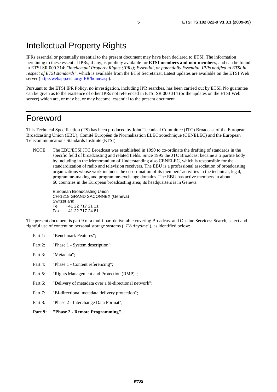# Intellectual Property Rights

IPRs essential or potentially essential to the present document may have been declared to ETSI. The information pertaining to these essential IPRs, if any, is publicly available for **ETSI members and non-members**, and can be found in ETSI SR 000 314: *"Intellectual Property Rights (IPRs); Essential, or potentially Essential, IPRs notified to ETSI in respect of ETSI standards"*, which is available from the ETSI Secretariat. Latest updates are available on the ETSI Web server ([http://webapp.etsi.org/IPR/home.asp\)](http://webapp.etsi.org/IPR/home.asp).

Pursuant to the ETSI IPR Policy, no investigation, including IPR searches, has been carried out by ETSI. No guarantee can be given as to the existence of other IPRs not referenced in ETSI SR 000 314 (or the updates on the ETSI Web server) which are, or may be, or may become, essential to the present document.

### Foreword

This Technical Specification (TS) has been produced by Joint Technical Committee (JTC) Broadcast of the European Broadcasting Union (EBU), Comité Européen de Normalisation ELECtrotechnique (CENELEC) and the European Telecommunications Standards Institute (ETSI).

NOTE: The EBU/ETSI JTC Broadcast was established in 1990 to co-ordinate the drafting of standards in the specific field of broadcasting and related fields. Since 1995 the JTC Broadcast became a tripartite body by including in the Memorandum of Understanding also CENELEC, which is responsible for the standardization of radio and television receivers. The EBU is a professional association of broadcasting organizations whose work includes the co-ordination of its members' activities in the technical, legal, programme-making and programme-exchange domains. The EBU has active members in about 60 countries in the European broadcasting area; its headquarters is in Geneva.

European Broadcasting Union CH-1218 GRAND SACONNEX (Geneva) Switzerland Tel: +41 22 717 21 11 Fax: +41 22 717 24 81

The present document is part 9 of a multi-part deliverable covering Broadcast and On-line Services: Search, select and rightful use of content on personal storage systems ("*TV-Anytime*"), as identified below:

- Part 1: "Benchmark Features";
- Part 2: "Phase 1 System description";
- Part 3: "Metadata";
- Part 4: "Phase 1 Content referencing":
- Part 5: "Rights Management and Protection (RMP)";
- Part 6: "Delivery of metadata over a bi-directional network";
- Part 7: "Bi-directional metadata delivery protection";
- Part 8: "Phase 2 Interchange Data Format";
- **Part 9: "Phase 2 Remote Programming".**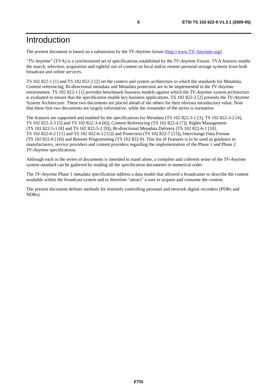### Introduction

The present document is based on a submission by the *TV-Anytime* forum [\(http://www.TV-Anytime.org](http://www.tv-anytime.org/)).

*"TV-Anytime"* (TVA) is a synchronized set of specifications established by the *TV-Anytime* Forum. TVA features enable the search, selection, acquisition and rightful use of content on local and/or remote personal storage systems from both broadcast and online services.

TS 102 822-1 [1] and TS 102 822-2 [2] set the context and system architecture in which the standards for Metadata, Content referencing, Bi-directional metadata and Metadata protection are to be implemented in the *TV-Anytime* environment. TS 102 822-1 [1] provides benchmark business models against which the *TV-Anytime* system architecture is evaluated to ensure that the specification enable key business applications. TS 102 822-2 [2] presents the *TV-Anytime* System Architecture. These two documents are placed ahead of the others for their obvious introductory value. Note that these first two documents are largely informative, while the remainder of the series is normative.

The features are supported and enabled by the specifications for Metadata (TS 102 822-3-1 [3], TS 102 822-3-2 [4], TS 102 822-3-3 [5] and TS 102 822-3-4 [6]), Content Referencing (TS 102 822-4 [7]), Rights Management (TS 102 822-5-1 [8] and TS 102 822-5-2 [9]), Bi-directional Metadata Delivery (TS 102 822-6-1 [10], TS 102 822-6-2 [11] and TS 102 822-6-3 [12]) and Protection (TS 102 822-7 [13]), Interchange Data Format (TS 102 822-8 [14]) and Remote Programming (TS 102 822-9). This list of Features is to be used as guidance to manufacturers, service providers and content providers regarding the implementation of the Phase 1 and Phase 2 *TV-Anytime* specifications.

Although each in the series of documents is intended to stand alone, a complete and coherent sense of the *TV-Anytime* system standard can be gathered by reading all the specification documents in numerical order.

The *TV-Anytime* Phase 1 metadata specification address a data model that allowed a broadcaster to describe the content available within the broadcast system and to therefore "attract" a user to acquire and consume the content.

The present document defines methods for remotely controlling personal and network digital recorders (PDRs and NDRs).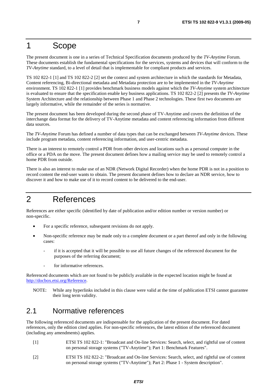### 1 Scope

The present document is one in a series of Technical Specification documents produced by the *TV-Anytime* Forum. These documents establish the fundamental specifications for the services, systems and devices that will conform to the *TV-Anytime* standard, to a level of detail that is implementable for compliant products and services.

TS 102 822-1 [1] and TS 102 822-2 [2] set the context and system architecture in which the standards for Metadata, Content referencing, Bi-directional metadata and Metadata protection are to be implemented in the *TV-Anytime* environment. TS 102 822-1 [1] provides benchmark business models against which the *TV-Anytime* system architecture is evaluated to ensure that the specification enable key business applications. TS 102 822-2 [2] presents the *TV-Anytime* System Architecture and the relationship between Phase 1 and Phase 2 technologies. These first two documents are largely informative, while the remainder of the series is normative.

The present document has been developed during the second phase of TV-Anytime and covers the definition of the interchange data format for the delivery of TV-Anytime metadata and content referencing information from different data sources.

The *TV-Anytime* Forum has defined a number of data types that can be exchanged between *TV-Anytime* devices. These include program metadata, content referencing information, and user-centric metadata.

There is an interest to remotely control a PDR from other devices and locations such as a personal computer in the office or a PDA on the move. The present document defines how a mailing service may be used to remotely control a home PDR from outside.

There is also an interest to make use of an NDR (Network Digital Recorder) when the home PDR is not in a position to record content the end-user wants to obtain. The present document defines how to declare an NDR service, how to discover it and how to make use of it to record content to be delivered to the end-user.

### 2 References

References are either specific (identified by date of publication and/or edition number or version number) or non-specific.

- For a specific reference, subsequent revisions do not apply.
- Non-specific reference may be made only to a complete document or a part thereof and only in the following cases:
	- if it is accepted that it will be possible to use all future changes of the referenced document for the purposes of the referring document;
	- for informative references.

Referenced documents which are not found to be publicly available in the expected location might be found at [http://docbox.etsi.org/Reference.](http://docbox.etsi.org/Reference)

NOTE: While any hyperlinks included in this clause were valid at the time of publication ETSI cannot guarantee their long term validity.

### 2.1 Normative references

The following referenced documents are indispensable for the application of the present document. For dated references, only the edition cited applies. For non-specific references, the latest edition of the referenced document (including any amendments) applies.

- [1] ETSI TS 102 822-1: "Broadcast and On-line Services: Search, select, and rightful use of content on personal storage systems ("TV-Anytime"); Part 1: Benchmark Features".
- [2] ETSI TS 102 822-2: "Broadcast and On-line Services: Search, select, and rightful use of content on personal storage systems ("TV-Anytime"); Part 2: Phase 1 - System description".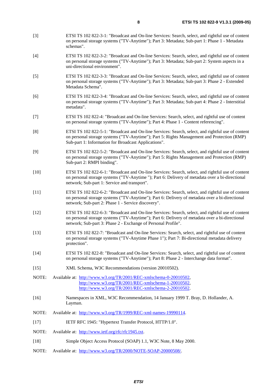- [3] ETSI TS 102 822-3-1: "Broadcast and On-line Services: Search, select, and rightful use of content on personal storage systems ("TV-Anytime"); Part 3: Metadata; Sub-part 1: Phase 1 - Metadata schemas".
- [4] ETSI TS 102 822-3-2: "Broadcast and On-line Services: Search, select, and rightful use of content on personal storage systems ("TV-Anytime"); Part 3: Metadata; Sub-part 2: System aspects in a uni-directional environment".
- [5] ETSI TS 102 822-3-3: "Broadcast and On-line Services: Search, select, and rightful use of content on personal storage systems ("TV-Anytime"); Part 3: Metadata; Sub-part 3: Phase 2 - Extended Metadata Schema".
- [6] ETSI TS 102 822-3-4: "Broadcast and On-line Services: Search, select, and rightful use of content on personal storage systems ("TV-Anytime"); Part 3: Metadata; Sub-part 4: Phase 2 - Interstitial metadata".
- [7] ETSI TS 102 822-4: "Broadcast and On-line Services: Search, select, and rightful use of content on personal storage systems ("TV-Anytime"); Part 4: Phase 1 - Content referencing".
- [8] ETSI TS 102 822-5-1: "Broadcast and On-line Services: Search, select, and rightful use of content on personal storage systems ("TV-Anytime"); Part 5: Rights Management and Protection (RMP) Sub-part 1: Information for Broadcast Applications".
- [9] ETSI TS 102 822-5-2: "Broadcast and On-line Services: Search, select, and rightful use of content on personal storage systems ("TV-Anytime"); Part 5: Rights Management and Protection (RMP) Sub-part 2: RMPI binding".
- [10] ETSI TS 102 822-6-1: "Broadcast and On-line Services: Search, select, and rightful use of content on personal storage systems ("TV-Anytime "); Part 6: Delivery of metadata over a bi-directional network; Sub-part 1: Service and transport".
- [11] ETSI TS 102 822-6-2: "Broadcast and On-line Services: Search, select, and rightful use of content on personal storage systems ("TV-Anytime"); Part 6: Delivery of metadata over a bi-directional network; Sub-part 2: Phase 1 - Service discovery".
- [12] ETSI TS 102 822-6-3: "Broadcast and On-line Services: Search, select, and rightful use of content on personal storage systems ("TV-Anytime"); Part 6: Delivery of metadata over a bi-directional network; Sub-part 3: Phase 2 - Exchange of Personal Profile".
- [13] ETSI TS 102 822-7: "Broadcast and On-line Services: Search, select, and rightful use of content on personal storage systems ("TV-Anytime Phase 1"); Part 7: Bi-directional metadata delivery protection".
- [14] ETSI TS 102 822-8: "Broadcast and On-line Services: Search, select, and rightful use of content on personal storage systems ("TV-Anytime"); Part 8: Phase 2 - Interchange data format".
- [15] XML Schema, W3C Recommendations (version 20010502).
- NOTE: Available at: [http://www.w3.org/TR/2001/REC-xmlschema-0-20010502,](http://www.w3.org/TR/2001/REC-xmlschema-0-20010502) [http://www.w3.org/TR/2001/REC-xmlschema-1-20010502,](http://www.w3.org/TR/2001/REC-xmlschema-1-20010502) [http://www.w3.org/TR/2001/REC-xmlschema-2-20010502.](http://www.w3.org/XML/Schema)
- [16] Namespaces in XML, W3C Recommendation, 14 January 1999 T. Bray, D. Hollander, A. Layman.
- NOTE: Available at: [http://www.w3.org/TR/1999/REC-xml-names-19990114.](http://www.w3.org/TR/1999/REC-xml-names-19990114)
- [17] IETF RFC 1945: "Hypertext Transfer Protocol, HTTP/1.0".
- NOTE: Available at: [http://www.ietf.org/rfc/rfc1945.txt.](http://www.ietf.org/rfc/rfc1945.txt)
- [18] Simple Object Access Protocol (SOAP) 1.1, W3C Note, 8 May 2000.
- NOTE: Available at: <http://www.w3.org/TR/2000/NOTE-SOAP-20000508/>.

*ETSI*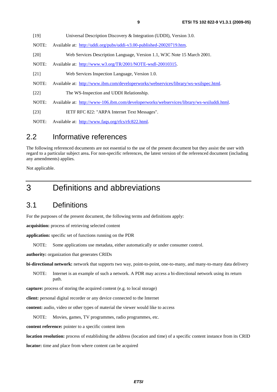| [19]   | Universal Description Discovery & Integration (UDDI), Version 3.0.                        |
|--------|-------------------------------------------------------------------------------------------|
| NOTE:  | Available at: http://uddi.org/pubs/uddi-v3.00-published-20020719.htm.                     |
| [20]   | Web Services Description Language, Version 1.1, W3C Note 15 March 2001.                   |
| NOTE:  | Available at: http://www.w3.org/TR/2001/NOTE-wsdl-20010315.                               |
| [21]   | Web Services Inspection Language, Version 1.0.                                            |
| NOTE:  | Available at: http://www.ibm.com/developerworks/webservices/library/ws-wsilspec.html.     |
| $[22]$ | The WS-Inspection and UDDI Relationship.                                                  |
| NOTE:  | Available at: http://www-106.ibm.com/developerworks/webservices/library/ws-wsiluddi.html. |
| $[23]$ | IETF RFC 822: "ARPA Internet Text Messages".                                              |
| NOTE:  | Available at: http://www.faqs.org/rfcs/rfc822.html.                                       |
|        |                                                                                           |

### 2.2 Informative references

The following referenced documents are not essential to the use of the present document but they assist the user with regard to a particular subject area**.** For non-specific references, the latest version of the referenced document (including any amendments) applies.

Not applicable.

### 3 Definitions and abbreviations

### 3.1 Definitions

For the purposes of the present document, the following terms and definitions apply:

**acquisition:** process of retrieving selected content

**application:** specific set of functions running on the PDR

NOTE: Some applications use metadata, either automatically or under consumer control.

**authority:** organization that generates CRIDs

**bi-directional network:** network that supports two way, point-to-point, one-to-many, and many-to-many data delivery

NOTE: Internet is an example of such a network. A PDR may access a bi-directional network using its return path.

**capture:** process of storing the acquired content (e.g. to local storage)

**client:** personal digital recorder or any device connected to the Internet

**content:** audio, video or other types of material the viewer would like to access

NOTE: Movies, games, TV programmes, radio programmes, etc.

**content reference:** pointer to a specific content item

**location resolution:** process of establishing the address (location and time) of a specific content instance from its CRID

**locator:** time and place from where content can be acquired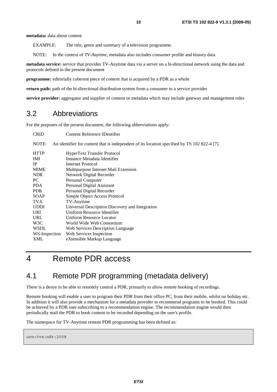**metadata:** data about content

EXAMPLE: The title, genre and summary of a television programme.

NOTE: In the context of *TV-Anytime*, metadata also includes consumer profile and history data.

**metadata service:** service that provides TV-Anytime data via a server on a bi-directional network using the data and protocols defined in the present document

**programme:** editorially coherent piece of content that is acquired by a PDR as a whole

**return path:** path of the bi-directional distribution system from a consumer to a service provider

**service provider:** aggregator and supplier of content or metadata which may include gateway and management roles

### 3.2 Abbreviations

For the purposes of the present document, the following abbreviations apply:

| <b>CRID</b>   | Content Reference IDentifier                                                                 |
|---------------|----------------------------------------------------------------------------------------------|
| NOTE:         | An identifier for content that is independent of its location specified by TS 102 822-4 [7]. |
| <b>HTTP</b>   | <b>HyperText Transfer Protocol</b>                                                           |
| IMI.          | Instance Metadata Identifier                                                                 |
| <b>IP</b>     | <b>Internet Protocol</b>                                                                     |
| <b>MIME</b>   | Multipurpose Internet Mail Extension                                                         |
| NDR.          | Network Digital Recorder                                                                     |
| PС            | Personal Computer                                                                            |
| PDA.          | Personal Digital Assistant                                                                   |
| <b>PDR</b>    | Personal Digital Recorder                                                                    |
| SOAP          | Simple Object Access Protocol                                                                |
| TVA           | TV-Anytime                                                                                   |
| <b>UDDI</b>   | Universal Description Discovery and Integration                                              |
| <b>URI</b>    | Uniform Resource Identifier                                                                  |
| URL           | Uniform Resource Locator                                                                     |
| W3C           | World Wide Web Consortium                                                                    |
| WSDL          | Web Services Description Language                                                            |
| WS-Inspection | Web Services Inspection                                                                      |
| XML           | eXtensible Markup Language                                                                   |

### 4 Remote PDR access

### 4.1 Remote PDR programming (metadata delivery)

There is a desire to be able to remotely control a PDR, primarily to allow remote booking of recordings.

Remote booking will enable a user to program their PDR from their office PC, from their mobile, whilst on holiday etc. In addition it will also provide a mechanism for a metadata provider to recommend programs to be booked. This could be achieved by a PDR user subscribing to a recommendation engine. The recommendation engine would then periodically mail the PDR to book content to be recorded depending on the user's profile.

The namespace for TV-Anytime remote PDR programming has been defined as:

urn:tva:ndr:2008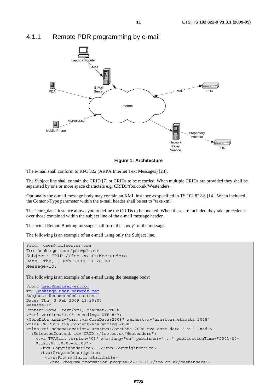

### 4.1.1 Remote PDR programming by e-mail

**Figure 1: Architecture** 

The e-mail shall conform to RFC 822 (ARPA Internet Text Messages) [23].

The Subject line shall contain the CRID [7] or CRIDs to be recorded. When multiple CRIDs are provided they shall be separated by one or more space characters e.g. CRID://foo.co.uk/Westenders.

Optionally the e-mail message body may contain an XML instance as specified in TS 102 822-8 [14]. When included the Content-Type parameter within the e-mail header shall be set to "text/xml".

The "core\_data" instance allows you to define the CRIDs to be booked. When these are included they take precedence over those contained within the subject line of the e-mail message header.

The actual RemoteBooking message shall form the "body" of the message.

The following is an example of an e-mail using only the Subject line.

```
From: user@mailserver.com
To: Bookings.user2pdr@pdr.com
Subject: CRID://foo.co.uk/Westenders 
Date: Thu, 3 Feb 2009 13:20:00 
Message-Id: 
The following is an example of an e-mail using the message body:
From: user@mailserver.com
To: Bookings.user2pdr@pdr.com
Subject: Recommended content 
Date: Thu, 3 Feb 2009 13:20:00 
Message-Id: 
Content-Type: text/xml; charset=UTF-8 
<?xml version="1.0" encoding="UTF-8"?> 
<CoreData xmlns="urn:tva:CoreData:2008" xmlns:tva="urn:tva:metadata:2008" 
xmlns:CR="urn:tva:ContentReferencing:2008" 
xmlns:xsi:schemaLocation="urn:tva:CoreData:2008 tva_core_data_8_v131.xsd"> 
   <SelectedContent id="CRID://foo.co.uk/Westenders"> 
     <tva:TVAMain version="03" xml:lang="en" publisher="..." publicationTime="2001-04- 
     05T21:00:00.00+01:00"> 
      <tva:CopyrightNotice>...</tva:CopyrightNotice> 
      <tva:ProgramDescription> 
         <tva:ProgramInformationTable> 
          <tva:ProgramInformation programId="CRID://foo.co.uk/Westenders">
```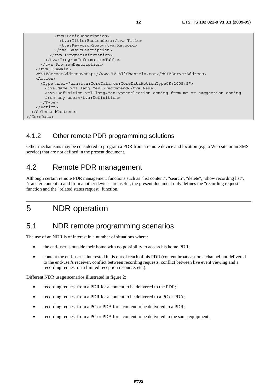```
 <tva:BasicDescription> 
              <tva:Title>Eastenders</tva:Title> 
              <tva:Keyword>Soap</tva:Keyword> 
            </tva:BasicDescription> 
          </tva:ProgramInformation> 
        </tva:ProgramInformationTable> 
      </tva:ProgramDescription> 
    </tva:TVAMain> 
    <WSIFServerAddress>http://www.TV-AllChannels.com</WSIFServerAddress> 
    <Action> 
      <Type href="urn:tva:CoreData:cs:CoreDataActionTypeCS:2005:5"> 
       <tva:Name xml:lang="en">recommend</tva:Name>
        <tva:Definition xml:lang="en">preselection coming from me or suggestion coming 
       from any user</tva:Definition>
      </Type> 
    </Action> 
  </SelectedContent> 
</CoreData>
```
### 4.1.2 Other remote PDR programming solutions

Other mechanisms may be considered to program a PDR from a remote device and location (e.g. a Web site or an SMS service) that are not defined in the present document.

### 4.2 Remote PDR management

Although certain remote PDR management functions such as "list content", "search", "delete", "show recording list", "transfer content to and from another device" are useful, the present document only defines the "recording request" function and the "related status request" function.

# 5 NDR operation

### 5.1 NDR remote programming scenarios

The use of an NDR is of interest in a number of situations where:

- the end-user is outside their home with no possibility to access his home PDR;
- content the end-user is interested in, is out of reach of his PDR (content broadcast on a channel not delivered to the end-user's receiver, conflict between recording requests, conflict between live event viewing and a recording request on a limited reception resource, etc.).

Different NDR usage scenarios illustrated in figure 2:

- recording request from a PDR for a content to be delivered to the PDR;
- recording request from a PDR for a content to be delivered to a PC or PDA;
- recording request from a PC or PDA for a content to be delivered to a PDR;
- recording request from a PC or PDA for a content to be delivered to the same equipment.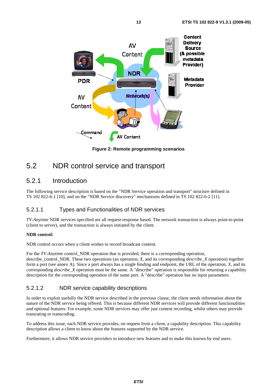

**Figure 2: Remote programming scenarios** 

### 5.2 NDR control service and transport

### 5.2.1 Introduction

The following service description is based on the "NDR Service operation and transport" structure defined in TS 102 822-6-1 [10], and on the "NDR Service discovery" mechanisms defined in TS 102 822-6-2 [11].

#### 5.2.1.1 Types and Functionalities of NDR services

*TV-Anytime* NDR services specified are all request-response based. The network transaction is always point-to-point (client to server), and the transaction is always initiated by the client.

#### **NDR control:**

NDR control occurs when a client wishes to record broadcast content.

For the *TV-Anytime* control NDR operation that is provided, there is a corresponding operation, describe\_control\_NDR. These two operations (an operation, *X*, and its corresponding *describe*\_*X* operation) together form a port (see annex A). Since a port always has a single binding and endpoint, the URL of the operation, *X*, and its corresponding *describe\_X* operation must be the same. A "describe" operation is responsible for returning a capability description for the corresponding operation of the same port. A "describe" operation has no input parameters.

#### 5.2.1.2 NDR service capability descriptions

In order to exploit usefully the NDR service described in the previous clause, the client needs information about the nature of the NDR service being offered. This is because different NDR services will provide different functionalities and optional features. For example, some NDR services may offer just content recording, whilst others may provide transrating or transcoding.

To address this issue, each NDR service provides, on request from a client, a capability description. This capability description allows a client to know about the features supported by the NDR service.

Furthermore, it allows NDR service providers to introduce new features and to make this known by end users.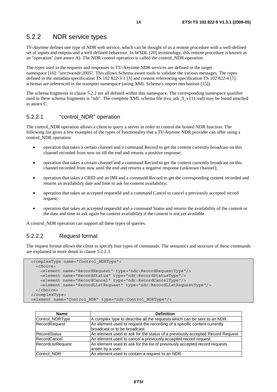### 5.2.2 NDR service types

*TV-Anytime* defines one type of NDR web service, which can be thought of as a remote procedure with a well-defined set of inputs and outputs and a well-defined behaviour. In WSDL [20] terminology, this remote procedure is known as an "operation" (see annex A). The NDR control operation is called the control\_NDR operation.

The types used in the requests and responses to TV-Anytime NDR services are defined in the target namespace [16]: "urn:tva:ndr:2005". This allows Schema aware tools to validate the various messages. The types defined in the metadata specification TS 102 822-3-1 [3] and content referencing specification TS 102 822-4 [7] schemas are referenced in the transport namespace (using XML Schema's import mechanism [15]).

The schema fragments in clause 5.2.2 are all defined within this namespace. The corresponding namespace qualifier used in these schema fragments is "ndr". The complete XML schema file (tva\_ndr\_9\_v111.xsd) may be found attached in annex C.

#### 5.2.2.1 "control\_NDR" operation

The control NDR operation allows a client to query a server in order to control the hosted NDR function. The following list gives a few examples of the types of functionality that a *TV-Anytime* NDR provider can offer using a control\_NDR operation:

- operation that takes a certain channel and a command Record to get the content currently broadcast on this channel recorded from now on till the end and returns a positive response;
- operation that takes a certain channel and a command Record to get the content currently broadcast on this channel recorded from now until the end and returns a negative response (unknown channel);
- operation that takes a CRID and an IMI and a command Record to get the corresponding content recorded and returns an availability date and time to ask for content availability;
- operation that takes an accepted requestId and a command Cancel to cancel a previously accepted record request;
- operation that takes an accepted requestId and a command Status and returns the availability of the content or the date and time to ask again for content availability if the content is not yet available.

A control\_NDR operation can support all these types of queries.

#### 5.2.2.2 Request format

The request format allows the client to specify four types of commands. The semantics and structure of these commands are explained in more detail in clause 5.2.2.3.

```
 <complexType name="Control_NDRType"> 
  <choice> 
    <element name="RecordRequest" type="ndr:RecordRequestType"/> 
    <element name="RecordStatus" type="ndr:RecordStatusType"/> 
    <element name="RecordCancel" type="ndr:RecordCancelType"/> 
     <element name="RecordListRequest" type="ndr:RecordListRequestType"/> 
  </choice> 
 </complexType> 
 <element name="Control_NDR" type="ndr:Control_NDRType"/>
```

| <b>Name</b>         | <b>Definition</b>                                                              |
|---------------------|--------------------------------------------------------------------------------|
| Control_NDRType     | A complex type to describe all the requests which can be sent to an NDR.       |
| RecordRequest       | An element used to request the recording of a specific content currently       |
|                     | broadcast or to be broadcast.                                                  |
| RecordStatus        | An element used to ask for the status of a previously accepted Record Request. |
| <b>RecordCancel</b> | An element used to cancel a previously accepted record request.                |
| RecordListRequest   | An element used to ask for the list of previously accepted record requests     |
|                     | arisen by a user.                                                              |
| Control_NDR         | An element used to contain a request to an NDR.                                |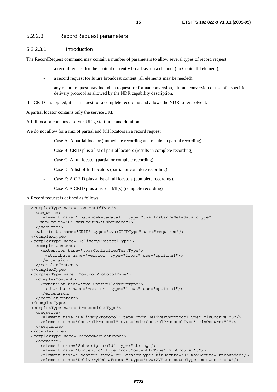#### 5.2.2.3 RecordRequest parameters

#### 5.2.2.3.1 Introduction

The RecordRequest command may contain a number of parameters to allow several types of record request:

- a record request for the content currently broadcast on a channel (no ContentId element);
- a record request for future broadcast content (all elements may be needed);
- any record request may include a request for format conversion, bit rate conversion or use of a specific delivery protocol as allowed by the NDR capability description.

If a CRID is supplied, it is a request for a complete recording and allows the NDR to reresolve it.

A partial locator contains only the serviceURL.

A full locator contains a serviceURL, start time and duration.

We do not allow for a mix of partial and full locators in a record request.

- Case A: A partial locator (immediate recording and results in partial recording).
- Case B: CRID plus a list of partial locators (results in complete recording).
- Case C: A full locator (partial or complete recording).
- Case D: A list of full locators (partial or complete recording).
- Case E: A CRID plus a list of full locators (complete recording).
- Case F: A CRID plus a list of IMI(s) (complete recording)

A Record request is defined as follows.

```
 <complexType name="ContentIdType"> 
  <sequence> 
    <element name="InstanceMetadataId" type="tva:InstanceMetadataIdType" 
    minOccurs="0" maxOccurs="unbounded"/> 
  </sequence> 
  <attribute name="CRID" type="tva:CRIDType" use="required"/> 
 </complexType> 
 <complexType name="DeliveryProtocolType"> 
  <complexContent> 
    <extension base="tva:ControlledTermType"> 
      <attribute name="version" type="float" use="optional"/> 
    </extension> 
  </complexContent> 
 </complexType> 
 <complexType name="ControlProtocolType"> 
   <complexContent> 
    <extension base="tva:ControlledTermType"> 
      <attribute name="version" type="float" use="optional"/> 
    </extension> 
  </complexContent> 
 </complexType> 
 <complexType name="ProtocolSetType"> 
  <sequence> 
    <element name="DeliveryProtocol" type="ndr:DeliveryProtocolType" minOccurs="0"/> 
    <element name="ControlProtocol" type="ndr:ControlProtocolType" minOccurs="0"/> 
   </sequence> 
 </complexType> 
 <complexType name="RecordRequestType"> 
  <sequence> 
    <element name="SubscriptionId" type="string"/> 
    <element name="ContentId" type="ndr:ContentIdType" minOccurs="0"/> 
    <element name="Locator" type="cr:LocatorType" minOccurs="0" maxOccurs="unbounded"/> 
     <element name="DeliveryMediaFormat" type="tva:AVAttributesType" minOccurs="0"/>
```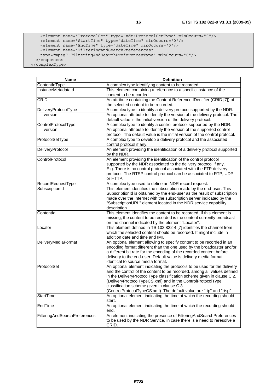```
 <element name="ProtocolSet" type="ndr:ProtocolSetType" minOccurs="0"/> 
 <element name="StartTime" type="dateTime" minOccurs="0"/> 
 <element name="EndTime" type="dateTime" minOccurs="0"/> 
      <element name="FilteringAndSearchPreferences" 
      type="mpeg7:FilteringAndSearchPreferencesType" minOccurs="0"/> 
    </sequence>
```
</complexType>

| <b>Name</b>                   | <b>Definition</b>                                                                                                                                                                                                                                                                                                                                                                                                 |
|-------------------------------|-------------------------------------------------------------------------------------------------------------------------------------------------------------------------------------------------------------------------------------------------------------------------------------------------------------------------------------------------------------------------------------------------------------------|
| ContentIdType                 | A complex type identifying content to be recorded.                                                                                                                                                                                                                                                                                                                                                                |
| InstanceMetadataId            | This element containing a reference to a specific instance of the<br>content to be recorded.                                                                                                                                                                                                                                                                                                                      |
| CRID                          | An attribute containing the Content Reference IDentifier (CRID [7]) of                                                                                                                                                                                                                                                                                                                                            |
|                               | the selected content to be recorded.                                                                                                                                                                                                                                                                                                                                                                              |
| DeliveryProtocolType          | A complex type to identify a delivery protocol supported by the NDR.                                                                                                                                                                                                                                                                                                                                              |
| version                       | An optional attribute to identify the version of the delivery protocol. The<br>default value is the initial version of the delivery protocol.                                                                                                                                                                                                                                                                     |
| ControlProtocolType           | A complex type to identify a control protocol supported by the NDR.                                                                                                                                                                                                                                                                                                                                               |
| version                       | An optional attribute to identify the version of the supported control<br>protocol. The default value is the initial version of the control protocol.                                                                                                                                                                                                                                                             |
| ProtocolSetType               | A complex type to develop a delivery protocol and the associated<br>control protocol if any.                                                                                                                                                                                                                                                                                                                      |
| DeliveryProtocol              | An element providing the identification of a delivery protocol supported<br>by the NDR.                                                                                                                                                                                                                                                                                                                           |
| ControlProtocol               | An element providing the identification of the control protocol<br>supported by the NDR associated to the delivery protocol if any.<br>E.g. There is no control protocol associated with the FTP delivery<br>protocol. The RTSP control protocol can be associated to RTP, UDP<br>or HTTP.                                                                                                                        |
| RecordRequestType             | A complex type used to define an NDR record request.                                                                                                                                                                                                                                                                                                                                                              |
| SubscriptionId                | This element identifies the subscription made by the end-user. This<br>SubscriptionId is obtained by the end-user as the result of subscription<br>made over the Internet with the subscription server indicated by the<br>"SubscriptionURL" element located in the NDR service capability<br>description.                                                                                                        |
| ContentId                     | This element identifies the content to be recorded. If this element is<br>missing, the content to be recorded is the content currently broadcast<br>on the channel indicated by the element "Locator".                                                                                                                                                                                                            |
| Locator                       | This element defined in TS 102 822-4 [7] identifies the channel from<br>which the selected content should be recorded. It might include in<br>addition date and time and IMI.                                                                                                                                                                                                                                     |
| DeliveryMediaFormat           | An optional element allowing to specify content to be recorded in an<br>encoding format different than the one used by the broadcaster and/or<br>a different bit rate for the encoding of the recorded content before<br>delivery to the end-user. Default value is delivery media format<br>identical to source media format.                                                                                    |
| ProtocolSet                   | An optional element indicating the protocols to be used for the delivery<br>and the control of the content to be recorded, among all values defined<br>in the DeliveryProtocolType classification scheme given in clause C.2.<br>(DeliveryProtocolTypeCS.xml) and in the ControlProtocolType<br>classification scheme given in clause C.3<br>(ControlProtocolTypeCS.xml). The default value are "rtp" and "rtsp". |
| StartTime                     | An optional element indicating the time at which the recording should<br>start.                                                                                                                                                                                                                                                                                                                                   |
| EndTime                       | An optional element indicating the time at which the recording should<br>end.                                                                                                                                                                                                                                                                                                                                     |
| FilteringAndSearchPreferences | An element indicating the presence of FilteringAndSearchPreferences<br>to be used by the NDR Service, in case there is a need to reresolve a<br>CRID.                                                                                                                                                                                                                                                             |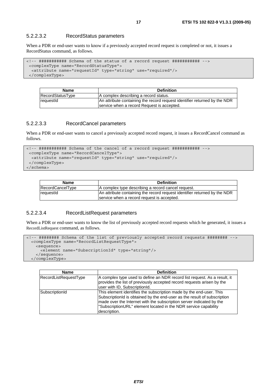#### 5.2.2.3.2 RecordStatus parameters

When a PDR or end-user wants to know if a previously accepted record request is completed or not, it issues a RecordStatus command, as follows.

```
<!-- ########### Schema of the status of a record request ########### --> 
  <complexType name="RecordStatusType"> 
   <attribute name="requestId" type="string" use="required"/> 
  </complexType>
```

| <b>Name</b>        | <b>Definition</b>                                                         |
|--------------------|---------------------------------------------------------------------------|
| RecordStatusType   | A complex describing a record status.                                     |
| <b>I</b> requestId | An attribute containing the record request identifier returned by the NDR |
|                    | service when a record Request is accepted.                                |

#### 5.2.2.3.3 RecordCancel parameters

When a PDR or end-user wants to cancel a previously accepted record request, it issues a RecordCancel command as follows.

```
<!-- ########### Schema of the cancel of a record request ########### --> 
  <complexType name="RecordCancelType"> 
   <attribute name="requestId" type="string" use="required"/> 
  </complexType> 
</schema>
```

| <b>Name</b>      | <b>Definition</b>                                                         |
|------------------|---------------------------------------------------------------------------|
| RecordCancelType | A complex type describing a record cancel request.                        |
| reauestId        | An attribute containing the record request identifier returned by the NDR |
|                  | service when a record request is accepted.                                |

#### 5.2.2.3.4 RecordListRequest parameters

When a PDR or end-user wants to know the list of previously accepted record requests which he generated, it issues a RecordListRequest command, as follows.

```
<!-- ######## Schema of the list of previously accepted record requests ######## --> 
  <complexType name="RecordListRequestType"> 
    <sequence> 
      <element name="SubscriptionId" type="string"/> 
     </sequence> 
   </complexType>
```

| <b>Name</b>           | <b>Definition</b>                                                                                                                                                                                                                                                                                          |
|-----------------------|------------------------------------------------------------------------------------------------------------------------------------------------------------------------------------------------------------------------------------------------------------------------------------------------------------|
| RecordListRequestType | A complex type used to define an NDR record list request. As a result, it<br>provides the list of previously accepted record requests arisen by the<br>user with ID, SubscriptionId.                                                                                                                       |
| SubscriptionId        | This element identifies the subscription made by the end-user. This<br>SubscriptionId is obtained by the end-user as the result of subscription<br>made over the Internet with the subscription server indicated by the<br>"SubscriptionURL" element located in the NDR service capability<br>description. |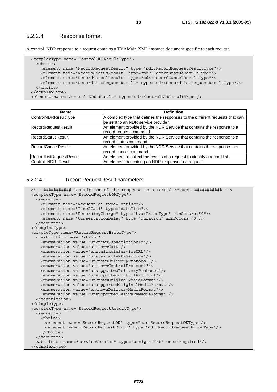#### 5.2.2.4 Response format

A control\_NDR response to a request contains a TVAMain XML instance document specific to each request.

```
 <complexType name="ControlNDRResultType"> 
    <choice> 
      <element name="RecordRequestResult" type="ndr:RecordRequestResultType"/> 
 <element name="RecordStatusResult" type="ndr:RecordStatusResultType"/> 
 <element name="RecordCancelResult" type="ndr:RecordCancelResultType"/> 
      <element name="RecordListRequestResult" type="ndr:RecordListRequestResultType"/> 
    </choice> 
  </complexType> 
  <element name="Control_NDR_Result" type="ndr:ControlNDRResultType"/>
```

| Name                      | <b>Definition</b>                                                            |
|---------------------------|------------------------------------------------------------------------------|
| ControlNDRResultType      | A complex type that defines the responses to the different requests that can |
|                           | be sent to an NDR service provider.                                          |
| RecordRequestResult       | An element provided by the NDR Service that contains the response to a       |
|                           | record request command.                                                      |
| <b>RecordStatusResult</b> | An element provided by the NDR Service that contains the response to a       |
|                           | record status command.                                                       |
| <b>RecordCancelResult</b> | An element provided by the NDR Service that contains the response to a       |
|                           | record cancel command.                                                       |
| RecordListRequestResult   | An element to collect the results of a request to identify a record list.    |
| Control_NDR_Result        | An element describing an NDR response to a request.                          |

#### 5.2.2.4.1 RecordRequestResult parameters

```
 <!-- ########### Description of the response to a record request ########### --> 
 <complexType name="RecordRequestOKType"> 
  <sequence> 
    <element name="RequestId" type="string"/> 
    <element name="Time2Call" type="dateTime"/> 
    <element name="RecordingCharge" type="tva:PriceType" minOccurs="0"/> 
    <element name="ConservationDelay" type="duration" minOccurs="0"/> 
  </sequence> 
 </complexType> 
 <simpleType name="RecordRequestErrorType"> 
   <restriction base="string"> 
    <enumeration value="unknownSubscriptionId"/> 
    <enumeration value="unknownCRID"/> 
    <enumeration value="unavailableServiceURL"/> 
    <enumeration value="unavailableNDRService"/> 
    <enumeration value="unknownDeliveryProtocol"/> 
    <enumeration value="unknownControlProtocol"/> 
    <enumeration value="unsupportedDeliveryProtocol"/> 
    <enumeration value="unsupportedControlProtocol"/> 
    <enumeration value="unknownOriginalMediaFormat"/> 
    <enumeration value="unsupportedOriginalMediaFormat"/> 
    <enumeration value="unknownDeliveryMediaFormat"/> 
    <enumeration value="unsupportedDeliveryMediaFormat"/> 
  </restriction> 
 </simpleType> 
 <complexType name="RecordRequestResultType"> 
  <sequence> 
    <choice> 
      <element name="RecordRequestOK" type="ndr:RecordRequestOKType"/> 
      <element name="RecordRequestError" type="ndr:RecordRequestErrorType"/> 
    </choice> 
  </sequence> 
   <attribute name="serviceVersion" type="unsignedInt" use="required"/> 
 </complexType>
```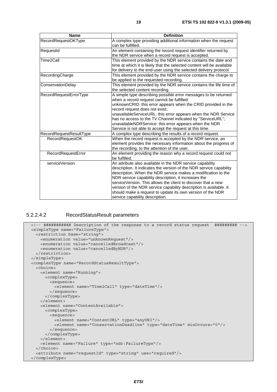| <b>Name</b>             | <b>Definition</b>                                                                                                                                                                                                                                                                                                                                                                                                                                                                                 |
|-------------------------|---------------------------------------------------------------------------------------------------------------------------------------------------------------------------------------------------------------------------------------------------------------------------------------------------------------------------------------------------------------------------------------------------------------------------------------------------------------------------------------------------|
| RecordRequestOKType     | A complex type providing additional information when the request<br>can be fulfilled.                                                                                                                                                                                                                                                                                                                                                                                                             |
| RequestId               | An element containing the record request identifier returned by<br>the NDR service when a record request is accepted.                                                                                                                                                                                                                                                                                                                                                                             |
| Time2Call               | This element provided by the NDR service contains the date and<br>time at which it is likely that the selected content will be available<br>for delivery to the end-user using the selected delivery protocol.                                                                                                                                                                                                                                                                                    |
| RecordingCharge         | This element provided by the NDR service contains the charge to<br>be applied to the requested recording.                                                                                                                                                                                                                                                                                                                                                                                         |
| ConservationDelay       | This element provided by the NDR service contains the life time of<br>the selected content recording.                                                                                                                                                                                                                                                                                                                                                                                             |
| RecordRequestErrorType  | A simple type describing possible error messages to be returned<br>when a record request cannot be fulfilled:<br>unknownCRID: this error appears when the CRID provided in the<br>record request does not exist;<br>unavailableServiceURL: this error appears when the NDR Service<br>has no access to the TV Channel indicated by "ServiceURL";<br>unavailableNDRService: this error appears when the NDR<br>Service is not able to accept the request at this time.                             |
| RecordRequestResultType | A complex type describing the results of a record request.                                                                                                                                                                                                                                                                                                                                                                                                                                        |
| <b>RecordRequestOK</b>  | When the record request is accepted by the NDR service, an<br>element provides the necessary information about the progress of<br>the recording, to the attention of the user.                                                                                                                                                                                                                                                                                                                    |
| RecordRequestError      | An element providing the reason why a record request could not<br>be fulfilled.                                                                                                                                                                                                                                                                                                                                                                                                                   |
| serviceVersion          | An attribute also available in the NDR service capability<br>description. It indicates the version of the NDR service capability<br>description. When the NDR service makes a modification to the<br>NDR service capability description, it increases the<br>serviceVersion. This allows the client to discover that a new<br>version of the NDR service capability description is available. It<br>should make a request to update its own version of the NDR<br>service capability description. |

#### 5.2.2.4.2 RecordStatusResult parameters

```
 <!-- ########### Description of the response to a record status request ######### --> 
 <simpleType name="FailureType"> 
  <restriction base="string"> 
    <enumeration value="unknownRequest"/> 
    <enumeration value="cancelledBroadcast"/> 
    <enumeration value="cancelledByNDR"/> 
  </restriction> 
 </simpleType> 
 <complexType name="RecordStatusResultType"> 
  <choice> 
    <element name="Running"> 
      <complexType> 
        <sequence> 
          <element name="Time2Call" type="dateTime"/> 
        </sequence> 
      </complexType> 
    </element> 
    <element name="ContentAvailable"> 
       <complexType> 
        <sequence> 
          <element name="ContentURL" type="anyURI"/> 
          <element name="ConservationDeadline" type="dateTime" minOccurs="0"/> 
        </sequence> 
       </complexType> 
    </element> 
    <element name="Failure" type="ndr:FailureType"/> 
  </choice> 
   <attribute name="requestId" type="string" use="required"/> 
 </complexType>
```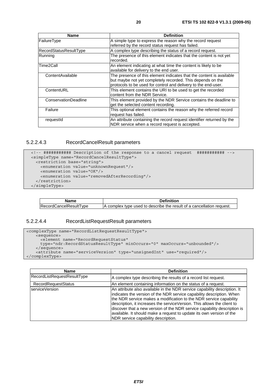| <b>Name</b>                 | <b>Definition</b>                                                     |
|-----------------------------|-----------------------------------------------------------------------|
| FailureType                 | A simple type to express the reason why the record request            |
|                             | referred by the record status request has failed.                     |
| RecordStatusResultType      | A complex type describing the status of a record request.             |
| Running                     | The presence of this element indicates that the content is not yet    |
|                             | recorded.                                                             |
| Time2Call                   | An element indicating at what time the content is likely to be        |
|                             | available for delivery to the end user.                               |
| ContentAvailable            | The presence of this element indicates that the content is available  |
|                             | but maybe not yet completely recorded. This depends on the            |
|                             | protocols to be used for control and delivery to the end-user.        |
| ContentURL                  | This element contains the URI to be used to get the recorded          |
|                             | content from the NDR Service.                                         |
| <b>ConservationDeadline</b> | This element provided by the NDR Service contains the deadline to     |
|                             | get the selected content recording.                                   |
| Failure                     | This optional element contains the reason why the referred record     |
|                             | request has failed.                                                   |
| requestid                   | An attribute containing the record request identifier returned by the |
|                             | NDR service when a record request is accepted.                        |

#### 5.2.2.4.3 RecordCancelResult parameters

```
 <!-- ########### Description of the response to a cancel request ########### --> 
 <simpleType name="RecordCancelResultType"> 
  <restriction base="string"> 
    <enumeration value="unknownRequest"/> 
    <enumeration value="OK"/> 
    <enumeration value="removedAfterRecording"/> 
  </restriction> 
 </simpleType>
```

| RecordCancelResult1<br>' vne | , complex type used to describe the result of a cancellation request. |
|------------------------------|-----------------------------------------------------------------------|

#### 5.2.2.4.4 RecordListRequestResult parameters

```
<complexType name="RecordListRequestResultType"> 
    <sequence> 
      <element name="RecordRequestStatus" 
      type="ndr:RecordStatusResultType" minOccurs="0" maxOccurs="unbounded"/> 
    </sequence> 
    <attribute name="serviceVersion" type="unsignedInt" use="required"/> 
</complexType>
```

| <b>Name</b>                 | <b>Definition</b>                                                                                                                                                                                                                                                                                                                                                                                                                                                                              |
|-----------------------------|------------------------------------------------------------------------------------------------------------------------------------------------------------------------------------------------------------------------------------------------------------------------------------------------------------------------------------------------------------------------------------------------------------------------------------------------------------------------------------------------|
| RecordListRequestResultType | A complex type describing the results of a record list request.                                                                                                                                                                                                                                                                                                                                                                                                                                |
| <b>RecordRequestStatus</b>  | An element containing information on the status of a request.                                                                                                                                                                                                                                                                                                                                                                                                                                  |
| serviceVersion              | An attribute also available in the NDR service capability description. It<br>indicates the version of the NDR service capability description. When<br>the NDR service makes a modification to the NDR service capability<br>description, it increases the serviceVersion. This allows the client to<br>discover that a new version of the NDR service capability description is<br>available. It should make a request to update its own version of the<br>NDR service capability description. |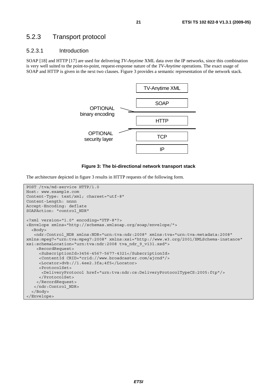### 5.2.3 Transport protocol

#### 5.2.3.1 Introduction

SOAP [18] and HTTP [17] are used for delivering *TV-Anytime* XML data over the IP networks, since this combination is very well suited to the point-to-point, request-response nature of the *TV-Anytime* operations. The exact usage of SOAP and HTTP is given in the next two clauses. Figure 3 provides a semantic representation of the network stack.



#### **Figure 3: The bi-directional network transport stack**

The architecture depicted in figure 3 results in HTTP requests of the following form.

```
POST /tva/md-service HTTP/1.0 
Host: www.example.com 
Content-Type: text/xml; charset="utf-8" 
Content-Length: nnnn 
Accept-Encoding: deflate 
SOAPAction: "control_NDR" 
<?xml version="1.0" encoding="UTF-8"?> 
<Envelope xmlns="http://schemas.xmlsoap.org/soap/envelope/"> 
   <Body> 
    <ndr:Control_NDR xmlns:NDR="urn:tva:ndr:2008" xmlns:tva="urn:tva:metadata:2008" 
xmlns:mpeg7="urn:tva:mpeg7:2008" xmlns:xsi="http://www.w3.org/2001/XMLSchema-instance" 
xsi:schemaLocation="urn:tva:ndr:2008 tva_ndr_9_v131.xsd"> 
     <RecordRequest> 
      <SubscriptionId>3456-4567-5677-4321</SubscriptionId> 
      <ContentId CRID="crid://www.broadcaster.com/ajcnd"/> 
      <Locator>dvb://1.4ee2.3fa;4f5</Locator> 
      <ProtocolSet> 
       <DeliveryProtocol href="urn:tva:ndr:cs:DeliveryProtocolTypeCS:2005:ftp"/> 
      </ProtocolSet> 
     </RecordRequest> 
    </ndr:Control_NDR> 
   </Body> 
</Envelope>
```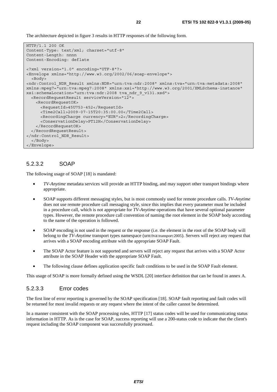The architecture depicted in figure 3 results in HTTP responses of the following form.

```
HTTP/1.1 200 OK 
Content-Type: text/xml; charset="utf-8" 
Content-Length: nnnn 
Content-Encoding: deflate 
<?xml version="1.0" encoding="UTF-8"?> 
<Envelope xmlns="http://www.w3.org/2002/06/soap-envelope"> 
   <Body> 
<ndr:Control_NDR_Result xmlns:NDR="urn:tva:ndr:2008" xmlns:tva="urn:tva:metadata:2008" 
xmlns:mpeg7="urn:tva:mpeg7:2008" xmlns:xsi="http://www.w3.org/2001/XMLSchema-instance" 
xsi:schemaLocation="urn:tva:ndr:2008 tva_ndr_9_v131.xsd"> 
   <RecordRequestResult serviceVersion="12"> 
    <RecordRequestOK> 
       <RequestId>45U753-452</RequestId> 
       <Time2Call>2009-07-15T20:35:00.00</Time2Call> 
      <RecordingCharge currency="EUR">2</RecordingCharge> 
      <ConservationDelay>PT12H</ConservationDelay> 
    </RecordRequestOK> 
   </RecordRequestResult> 
</ndr:Control_NDR_Result> 
  </Body> 
</Envelope>
```
#### 5.2.3.2 SOAP

The following usage of SOAP [18] is mandated:

- *TV-Anytime* metadata services will provide an HTTP binding, and may support other transport bindings where appropriate.
- SOAP supports different messaging styles, but is most commonly used for remote procedure calls. *TV-Anytime* does not use remote procedure call messaging style, since this implies that every parameter must be included in a procedure call, which is not appropriate for *TV-Anytime* operations that have several optional parameter types. However, the remote procedure call convention of naming the root element in the SOAP body according to the name of the operation is followed.
- SOAP encoding is not used in the request or the response (i.e. the element in the root of the SOAP body will belong to the *TV-Anytime* transport types namespace (urn:tva:transport:2005). Servers will reject any request that arrives with a SOAP encoding attribute with the appropriate SOAP Fault.
- The SOAP Actor feature is not supported and servers will reject any request that arrives with a SOAP Actor attribute in the SOAP Header with the appropriate SOAP Fault.
- The following clause defines application specific fault conditions to be used in the SOAP Fault element.

This usage of SOAP is more formally defined using the WSDL [20] interface definition that can be found in annex A.

#### 5.2.3.3 Error codes

The first line of error reporting is governed by the SOAP specification [18]. SOAP fault reporting and fault codes will be returned for most invalid requests or any request where the intent of the caller cannot be determined.

In a manner consistent with the SOAP processing rules, HTTP [17] status codes will be used for communicating status information in HTTP. As is the case for SOAP, success reporting will use a 200-status code to indicate that the client's request including the SOAP component was successfully processed.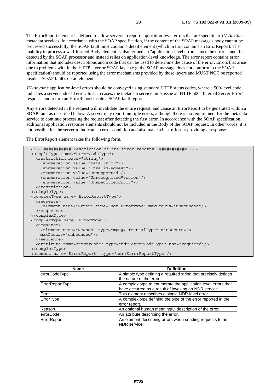The ErrorReport element is defined to allow servers to report application-level errors that are specific to *TV-Anytime* metadata services. In accordance with the SOAP specification, if the content of the SOAP message's body cannot be processed successfully, the SOAP fault must contain a detail element (which in turn contains an ErrorReport). The inability to process a well-formed Body element is also termed an "application-level error", since the error cannot be detected by the SOAP processor and instead relies on application-level knowledge. The error report contains error information that includes descriptions and a code that can be used to determine the cause of the error. Errors that arise due to problems with in the HTTP layer or SOAP layer (e.g. the SOAP message does not conform to the SOAP specification) should be reported using the error mechanisms provided by those layers and MUST NOT be reported inside a SOAP fault's detail element.

*TV-Anytime* application-level errors should be conveyed using standard HTTP status codes, where a 500-level code indicates a server-induced error. In such cases, the metadata service must issue an HTTP 500 "Internal Server Error" response and return an ErrorReport inside a SOAP fault report.

Any errors detected in the request will invalidate the entire request, and cause an ErrorReport to be generated within a SOAP fault as described below. A server may report multiple errors, although there is no requirement for the metadata service to continue processing the request after detecting the first error. In accordance with the SOAP specification, additional application response elements should not be included in the Body of the SOAP request. In other words, it is not possible for the server to indicate an error condition and also make a best-effort at providing a response.

The ErrorReport element takes the following form.

```
 <!-- ########### Description of the error reports ########### --> 
 <simpleType name="errorCodeType"> 
  <restriction base="string"> 
    <enumeration value="FatalError"/> 
    <enumeration value="InvalidRequest"/> 
    <enumeration value="Unsupported"/> 
    <enumeration value="UnrecognizedVersion"/> 
     <enumeration value="UnspecifiedError"/> 
  </restriction> 
 </simpleType> 
 <complexType name="ErrorReportType"> 
   <sequence> 
     <element name="Error" type="ndr:ErrorType" maxOccurs="unbounded"/> 
  </sequence> 
 </complexType> 
 <complexType name="ErrorType"> 
  <sequence> 
    <element name="Reason" type="mpeg7:TextualType" minOccurs="0" 
    maxOccurs="unbounded"/> 
  </sequence> 
   <attribute name="errorCode" type="ndr:errorCodeType" use="required"/> 
 </complexType> 
 <element name="ErrorReport" type="ndr:ErrorReportType"/>
```

| <b>Name</b>      | <b>Definition</b>                                                                                                      |
|------------------|------------------------------------------------------------------------------------------------------------------------|
| errorCodeType    | A simple type defining a required string that precisely defines<br>the nature of the error.                            |
| ErrorReportType  | A complex type to enumerate the application level errors that<br>have occurred as a result of invoking an NDR service. |
| Error            | This element describes a single NDR-level error.                                                                       |
| ErrorType        | A complex type defining the type of the error reported in the<br>error report.                                         |
| Reason           | An optional human meaningful description of the error.                                                                 |
| <b>errorCode</b> | An attribute describing the error.                                                                                     |
| ErrorReport      | An element describing errors when sending requests to an<br>NDR service.                                               |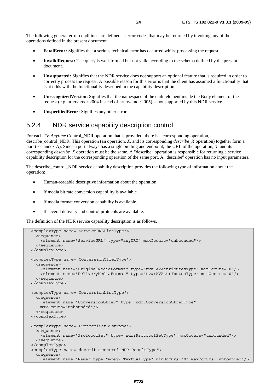The following general error conditions are defined as error codes that may be returned by invoking any of the operations defined in the present document:

- **FatalError:** Signifies that a serious technical error has occurred whilst processing the request.
- **InvalidRequest:** The query is well-formed but not valid according to the schema defined by the present document.
- **Unsupported:** Signifies that the NDR service does not support an optional feature that is required in order to correctly process the request. A possible reason for this error is that the client has assumed a functionality that is at odds with the functionality described in the capability description.
- **UnrecognizedVersion:** Signifies that the namespace of the child element inside the Body element of the request (e.g. urn:tva:ndr:2004 instead of urn:tva:ndr:2005) is not supported by this NDR service.
- **UnspecifiedError:** Signifies any other error.

### 5.2.4 NDR service capability description control

For each *TV-Anytime* Control\_NDR operation that is provided, there is a corresponding operation, describe control NDR. This operation (an operation, *X*, and its corresponding *describe* X operation) together form a port (see annex A). Since a port always has a single binding and endpoint, the URL of the operation, *X*, and its corresponding *describe\_X* operation must be the same. A "describe" operation is responsible for returning a service capability description for the corresponding operation of the same port. A "describe" operation has no input parameters.

The describe control NDR service capability description provides the following type of information about the operation:

- Human-readable descriptive information about the operation.
- If media bit rate conversion capability is available.
- If media format conversion capability is available.
- If several delivery and control protocols are available.

The definition of the NDR service capability description is as follows.

```
 <complexType name="ServiceURLListType"> 
   <sequence> 
    <element name="ServiceURL" type="anyURI" maxOccurs="unbounded"/> 
   </sequence> 
 </complexType> 
 <complexType name="ConversionOfferType"> 
  <sequence> 
    <element name="OriginalMediaFormat" type="tva:AVAttributesType" minOccurs="0"/> 
     <element name="DeliveryMediaFormat" type="tva:AVAttributesType" minOccurs="0"/> 
   </sequence> 
 </complexType> 
 <complexType name="ConversionListType"> 
  <sequence> 
    <element name="ConversionOffer" type="ndr:ConversionOfferType" 
    maxOccurs="unbounded"/> 
  </sequence> 
 </complexType> 
 <complexType name="ProtocolSetListType"> 
  <sequence> 
    <element name="ProtocolSet" type="ndr:ProtocolSetType" maxOccurs="unbounded"/> 
  </sequence> 
 </complexType> 
 <complexType name="describe_control_NDR_ResultType"> 
   <sequence> 
    <element name="Name" type="mpeg7:TextualType" minOccurs="0" maxOccurs="unbounded"/>
```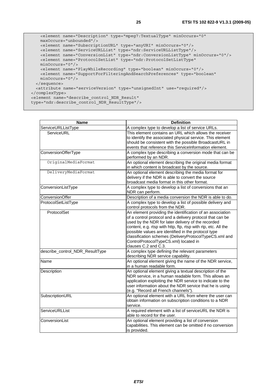```
 <element name="Description" type="mpeg7:TextualType" minOccurs="0" 
      maxOccurs="unbounded"/> 
      <element name="SubscriptionURL" type="anyURI" minOccurs="0"/> 
      <element name="ServiceURLList" type="ndr:ServiceURLListType"/> 
 <element name="ConversionList" type="ndr:ConversionListType" minOccurs="0"/> 
 <element name="ProtocolSetList" type="ndr:ProtocolSetListType" 
      minOccurs="0"/> 
      <element name="PlayWhileRecording" type="boolean" minOccurs="0"/> 
      <element name="SupportForFilteringAndSearchPreferences" type="boolean" 
      minOccurs="0"/> 
    </sequence> 
    <attribute name="serviceVersion" type="unsignedInt" use="required"/> 
  </complexType> 
  <element name="describe_control_NDR_Result"
```

```
 type="ndr:describe_control_NDR_ResultType"/>
```

| <b>Name</b>                     | <b>Definition</b>                                                                                                                                                                                                                                                                                                                                                                                                                |
|---------------------------------|----------------------------------------------------------------------------------------------------------------------------------------------------------------------------------------------------------------------------------------------------------------------------------------------------------------------------------------------------------------------------------------------------------------------------------|
| ServiceURLListType              | A complex type to develop a list of service URLs.                                                                                                                                                                                                                                                                                                                                                                                |
| ServiceURL                      | This element contains an URL which allows the receiver<br>to identify the associated physical service. This element<br>should be consistent with the possible BroadcastURL in<br>events that reference this ServiceInformation element.                                                                                                                                                                                          |
| ConversionOfferType             | A complex type describing a conversion mode that can be<br>performed by an NDR.                                                                                                                                                                                                                                                                                                                                                  |
| OriginalMediaFormat             | An optional element describing the original media format<br>in which content is broadcast by the source.                                                                                                                                                                                                                                                                                                                         |
| DeliveryMediaFormat             | An optional element describing the media format for<br>delivery if the NDR is able to convert the source<br>broadcast media format in this other format.                                                                                                                                                                                                                                                                         |
| ConversionListType              | A complex type to develop a list of conversions that an<br>NDR can perform.                                                                                                                                                                                                                                                                                                                                                      |
| ConversionOffer                 | Description of a media conversion the NDR is able to do.                                                                                                                                                                                                                                                                                                                                                                         |
| ProtocolSetListType             | A complex type to develop a list of possible delivery and<br>control protocols from the NDR.                                                                                                                                                                                                                                                                                                                                     |
| ProtocolSet                     | An element providing the identification of an association<br>of a control protocol and a delivery protocol that can be<br>used by the NDR for later delivery of the recorded<br>content, e.g. rtsp with http, ftp, rtsp with rtp, etc. All the<br>possible values are identified in the protocol type<br>classification schemes (DeliveryProtocolTypeCS.xml and<br>ControlProtocolTypeCS.xml) located in<br>clauses C.2 and C.3. |
| describe_control_NDR_ResultType | A complex type defining the relevant parameters<br>describing NDR service capability.                                                                                                                                                                                                                                                                                                                                            |
| Name                            | An optional element giving the name of the NDR service,<br>in a human readable form.                                                                                                                                                                                                                                                                                                                                             |
| Description                     | An optional element giving a textual description of the<br>NDR service, in a human readable form. This allows an<br>application exploiting the NDR service to indicate to the<br>user information about the NDR service that he is using<br>(e.g. "Record all French channels").                                                                                                                                                 |
| SubscriptionURL                 | An optional element with a URL from where the user can<br>obtain information on subscription conditions to a NDR<br>service.                                                                                                                                                                                                                                                                                                     |
| ServiceURLList                  | A required element with a list of serviceURL the NDR is<br>able to record for the user.                                                                                                                                                                                                                                                                                                                                          |
| ConversionList                  | An optional element providing a list of conversion<br>capabilities. This element can be omitted if no conversion<br>is provided.                                                                                                                                                                                                                                                                                                 |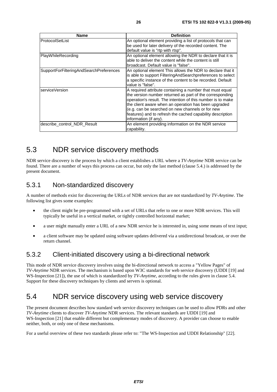| Name                                    | <b>Definition</b>                                                                                                                                                                                                                                                                                                                                                                      |
|-----------------------------------------|----------------------------------------------------------------------------------------------------------------------------------------------------------------------------------------------------------------------------------------------------------------------------------------------------------------------------------------------------------------------------------------|
| ProtocolSetList                         | An optional element providing a list of protocols that can<br>be used for later delivery of the recorded content. The<br>default value is "rtp with rtsp".                                                                                                                                                                                                                             |
| PlayWhileRecording                      | An optional element allowing the NDR to declare that it is<br>able to deliver the content while the content is still<br>broadcast. Default value is "false".                                                                                                                                                                                                                           |
| SupportForFilteringAndSearchPreferences | An optional element This allows the NDR to declare that it<br>is able to support Filtering And Search preferences to select<br>a specific instance of the content to be recorded. Default<br>value is "false".                                                                                                                                                                         |
| serviceVersion                          | A required attribute containing a number that must equal<br>the version number returned as part of the corresponding<br>operation's result. The intention of this number is to make<br>the client aware when an operation has been upgraded<br>(e.g. can be searched on new channels or for new<br>features) and to refresh the cached capability description<br>information (if any). |
| describe control NDR Result             | An element providing information on the NDR service<br>capability.                                                                                                                                                                                                                                                                                                                     |

### 5.3 NDR service discovery methods

NDR service discovery is the process by which a client establishes a URL where a *TV-Anytime* NDR service can be found. There are a number of ways this process can occur, but only the last method (clause 5.4.) is addressed by the present document.

### 5.3.1 Non-standardized discovery

A number of methods exist for discovering the URLs of NDR services that are not standardized by *TV-Anytime*. The following list gives some examples:

- the client might be pre-programmed with a set of URLs that refer to one or more NDR services. This will typically be useful in a vertical market, or tightly controlled horizontal market;
- a user might manually enter a URL of a new NDR service he is interested in, using some means of text input;
- a client software may be updated using software updates delivered via a unidirectional broadcast, or over the return channel.

### 5.3.2 Client-initiated discovery using a bi-directional network

This mode of NDR service discovery involves using the bi-directional network to access a "Yellow Pages" of *TV-Anytime* NDR services. The mechanism is based upon W3C standards for web service discovery (UDDI [19] and WS*-*Inspection [21]), the use of which is standardized by *TV-Anytime*, according to the rules given in clause 5.4. Support for these discovery techniques by clients and servers is optional.

### 5.4 NDR service discovery using web service discovery

The present document describes how standard web service discovery techniques can be used to allow PDRs and other *TV-Anytime* clients to discover *TV-Anytime* NDR services. The relevant standards are UDDI [19] and WS*-*Inspection [21] that enable different but complementary modes of discovery. A provider can choose to enable neither, both, or only one of these mechanisms.

For a useful overview of these two standards please refer to: "The WS-Inspection and UDDI Relationship" [22].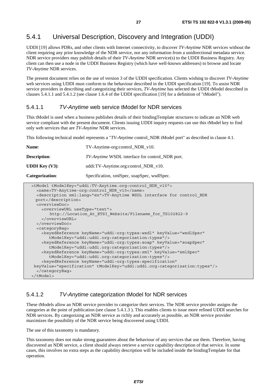### 5.4.1 Universal Description, Discovery and Integration (UDDI)

UDDI [19] allows PDRs, and other clients with Internet connectivity, to discover *TV-Anytime* NDR services without the client requiring any prior knowledge of the NDR service, nor any information from a unidirectional metadata service. NDR service providers may publish details of their *TV-Anytime* NDR service(s) to the UDDI Business Registry. Any client can then use a node in the UDDI Business Registry (which have well-known addresses) to browse and locate *TV-Anytime* NDR services.

The present document relies on the use of version 3 of the UDDI specification. Clients wishing to discover *TV-Anytime* web services using UDDI must conform to the behaviour described in the UDDI specification [19]. To assist NDR service providers in describing and categorizing their services, *TV-Anytime* has selected the UDDI tModel described in clauses 5.4.1.1 and 5.4.1.2 (see clause 1.6.4 of the UDDI specification [19] for a definition of "tModel").

#### 5.4.1.1 *TV-Anytime* web service tModel for NDR services

This tModel is used when a business publishes details of their bindingTemplate structures to indicate an NDR web service compliant with the present document. Clients issuing UDDI inquiry requests can use this tModel key to find only web services that are *TV-Anytime* NDR services.

This following technical model represents a "*TV-Anytime* control\_NDR tModel port" as described in clause 4.1.

| Name:                                                                                                                                                                                                             | TV-Anytime-org:control_NDR_v10.                        |  |
|-------------------------------------------------------------------------------------------------------------------------------------------------------------------------------------------------------------------|--------------------------------------------------------|--|
| <b>Description:</b>                                                                                                                                                                                               | <i>TV-Anytime</i> WSDL interface for control NDR port. |  |
| <b>UDDI</b> Key $(V3)$ :                                                                                                                                                                                          | uddi:TV-Anytime.org:control_NDR_v10.                   |  |
| Categorization:                                                                                                                                                                                                   | Specification, xmlSpec, soapSpec, wsdlSpec.            |  |
| <tmodel tmodelkey="uddi:TV-Anytime.org:control NDR v10"><br/><name>TV-Anytime-org:control NDR v10</name><br/><description xml:lanq="en">TV-Anytime WSDL interface for control NDR<br/>port</description></tmodel> |                                                        |  |

```
 <overviewDoc> 
     <overviewURL useType="text"> 
        http://Location_At_ETSI_Website/Filename_for_TS102822-9 
     </overviewURL> 
   </overviewDoc> 
   <categoryBag> 
     <keyedReference keyName="uddi-org:types:wsdl" keyValue="wsdlSpec" 
        tModelKey="uddi:uddi.org:categorization:types"/> 
     <keyedReference keyName="uddi-org:types:soap" keyValue="soapSpec" 
        tModelKey="uddi:uddi.org:categorization:types"/> 
     <keyedReference keyName="uddi-org:types:xml" keyValue="xmlSpec" 
        tModelKey="uddi:uddi.org:categorization:types"/> 
     <keyedReference keyName="uddi-org:types:specification" 
 keyValue="specification" tModelKey="uddi:uddi.org:categorization:types"/> 
   </categoryBag> 
 </tModel>
```
#### 5.4.1.2 *TV-Anytime* categorization tModel for NDR services

These tModels allow an NDR service provider to categorize their services. The NDR service provider assigns the categories at the point of publication (see clause 5.4.1.3 ). This enables clients to issue more refined UDDI searches for NDR services. By categorizing an NDR service as richly and accurately as possible, an NDR service provider maximizes the possibility of the NDR service being discovered using UDDI.

The use of this taxonomy is mandatory.

This taxonomy does not make strong guarantees about the behaviour of any services that use them. Therefore, having discovered an NDR service, a client should always retrieve a service capability description of that service. In some cases, this involves no extra steps as the capability description will be included inside the bindingTemplate for that operation.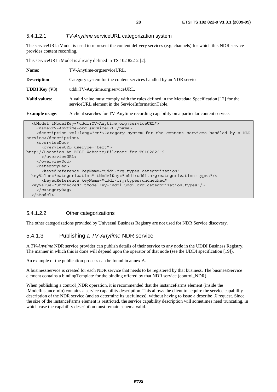#### 5.4.1.2.1 *TV-Anytime* serviceURL categorization system

The serviceURL tModel is used to represent the content delivery services (e.g. channels) for which this NDR service provides content recording.

This serviceURL tModel is already defined in TS 102 822-2 [2].

| Name:                    | TV-Anytime-org:serviceURL.                                                                                                                        |  |
|--------------------------|---------------------------------------------------------------------------------------------------------------------------------------------------|--|
| <b>Description:</b>      | Category system for the content services handled by an NDR service.                                                                               |  |
| <b>UDDI</b> Key $(V3)$ : | uddi:TV-Anytime.org:serviceURL.                                                                                                                   |  |
| Valid values:            | A valid value must comply with the rules defined in the Metadata Specification [12] for the<br>serviceURL element in the ServiceInformationTable. |  |
| <b>Example usage:</b>    | A client searches for TV-Anytime recording capability on a particular content service.                                                            |  |
|                          |                                                                                                                                                   |  |

| <tmodel tmodelkey="uddi:TV-Anytime.org:serviceURL"></tmodel>                                       |
|----------------------------------------------------------------------------------------------------|
| <name>TV-Anytime-org:serviceURL</name>                                                             |
| <description xml:lang="en">Category system for the content services handled by a NDR</description> |
| service                                                                                            |
| <overviewdoc></overviewdoc>                                                                        |
| <overviewurl usetype="text"></overviewurl>                                                         |
| http://Location At ETSI Website/Filename for TS102822-9                                            |
|                                                                                                    |
|                                                                                                    |
| <categorybag></categorybag>                                                                        |
| <keyedreference <="" keyname="uddi-org:types:categorization" td=""></keyedreference>               |
| keyValue="categorization" tModelKey="uddi:uddi.org:categorization:types"/>                         |
| <keyedreference <="" keyname="uddi-org:types:unchecked" td=""></keyedreference>                    |
| keyValue="unchecked" tModelKey="uddi:uddi.org:categorization:types"/>                              |
|                                                                                                    |
| $\langle$ /tModel>                                                                                 |

#### 5.4.1.2.2 Other categorizations

The other categorizations provided by Universal Business Registry are not used for NDR Service discovery.

#### 5.4.1.3 Publishing a *TV-Anytime* NDR service

A *TV-Anytime* NDR service provider can publish details of their service to any node in the UDDI Business Registry. The manner in which this is done will depend upon the operator of that node (see the UDDI specification [19]).

An example of the publication process can be found in annex A.

A businessService is created for each NDR service that needs to be registered by that business. The businessService element contains a bindingTemplate for the binding offered by that NDR service (control\_NDR).

When publishing a control\_NDR operation, it is recommended that the instanceParms element (inside the tModelInstanceInfo) contains a service capability description. This allows the client to acquire the service capability description of the NDR service (and so determine its usefulness), without having to issue a describe\_*X* request. Since the size of the instanceParms element is restricted, the service capability description will sometimes need truncating, in which case the capability description must remain schema valid.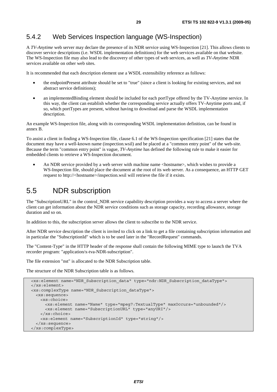### 5.4.2 Web Services Inspection language (WS-Inspection)

A *TV-Anytime* web server may declare the presence of its NDR service using WS-Inspection [21]. This allows clients to discover service descriptions (i.e. WSDL implementation definitions) for the web services available on that website. The WS-Inspection file may also lead to the discovery of other types of web services, as well as *TV-Anytime* NDR services available on other web sites.

It is recommended that each description element use a WSDL extensibility reference as follows:

- the endpointPresent attribute should be set to "true" (since a client is looking for existing services, and not abstract service definitions);
- an implementedBinding element should be included for each portType offered by the TV-Anytime service. In this way, the client can establish whether the corresponding service actually offers TV-Anytime ports and, if so, which portTypes are present, without having to download and parse the WSDL implementation description.

An example WS-Inspection file, along with its corresponding WSDL implementation definition, can be found in annex B.

To assist a client in finding a WS-Inspection file, clause 6.1 of the WS-Inspection specification [21] states that the document may have a well-known name (inspection.wsil) and be placed at a "common entry point" of the web-site. Because the term "common entry point" is vague, *TV-Anytime* has defined the following rule to make it easier for embedded clients to retrieve a WS-Inspection document.

An NDR service provided by a web server with machine name <hostname>, which wishes to provide a WS*-*Inspection file, should place the document at the root of its web server. As a consequence, an HTTP GET request to http://<hostname>/inspection.wsil will retrieve the file if it exists.

### 5.5 NDR subscription

The "SubscriptionURL" in the control\_NDR service capability description provides a way to access a server where the client can get information about the NDR service conditions such as storage capacity, recording allowance, storage duration and so on.

In addition to this, the subscription server allows the client to subscribe to the NDR service.

After NDR service description the client is invited to click on a link to get a file containing subscription information and in particular the "SubscriptionId" which is to be used later in the "RecordRequest" commands.

The "Content-Type" in the HTTP header of the response shall contain the following MIME type to launch the TVA recorder program: "application/x-tva-NDR-subscription".

The file extension "nst" is allocated to the NDR Subscription table.

The structure of the NDR Subscription table is as follows.

```
 <xs:element name="NDR_Subscription_data" type="ndr:NDR_Subscription_dataType"> 
 </xs:element> 
 <xs:complexType name="NDR_Subscription_dataType"> 
  <xs:sequence> 
    <xs:choice> 
      <xs:element name="Name" type="mpeg7:TextualType" maxOccurs="unbounded"/> 
      <xs:element name="SubscriptionURL" type="anyURI"/> 
    </xs:choice> 
     <xs:element name="SubscriptionId" type="string"/> 
  </xs:sequence> 
 </xs:complexType>
```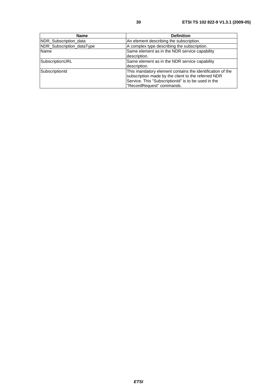| <b>Name</b>               | <b>Definition</b>                                                                                                                                                                                    |
|---------------------------|------------------------------------------------------------------------------------------------------------------------------------------------------------------------------------------------------|
| NDR_Subscription_data     | An element describing the subscription.                                                                                                                                                              |
| NDR_Subscription_dataType | A complex type describing the subscription.                                                                                                                                                          |
| Name                      | Same element as in the NDR service capability<br>description.                                                                                                                                        |
| SubscriptionURL           | Same element as in the NDR service capability<br>description.                                                                                                                                        |
| SubscriptionId            | This mandatory element contains the identification of the<br>subscription made by the client to the referred NDR<br>Service. This "SubscriptionId" is to be used in the<br>"RecordRequest" commands. |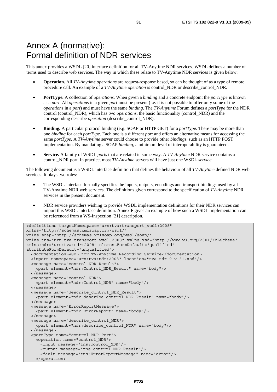# Annex A (normative): Formal definition of NDR services

This annex provides a WSDL [20] interface definition for all TV-Anytime NDR services. WSDL defines a number of terms used to describe web services. The way in which these relate to TV-Anytime NDR services is given below:

- **Operation.** All *TV-Anytime operations* are request-response based, so can be thought of as a type of remote procedure call. An example of a *TV-Anytime operation* is control\_NDR or describe\_control\_NDR.
- **PortType.** A collection of *operations*. When given a *binding* and a concrete endpoint the *portType* is known as a *port*. All *operations* in a given *port* must be present (i.e. it is not possible to offer only some of the *operations* in a *port*) and must have the same *binding*. The *TV-Anytime* Forum defines a *portType* for the NDR control (control\_NDR), which has two *operations*, the basic functionality (control\_NDR) and the corresponding describe *operation* (describe\_control\_NDR).
- **Binding.** A particular protocol binding (e.g. SOAP or HTTP GET) for a *portType*. There may be more than one *binding* for each *portType*. Each one is a different *port* and offers an alternative means for accessing the same *portType*. A *TV-Anytime* server could choose to provide other *bindings*, such as an HTTP POST implementation. By mandating a SOAP *binding*, a minimum level of interoperability is guaranteed.
- **Service.** A family of WSDL *ports* that are related in some way. A *TV-Anytime* NDR service contains a control\_NDR port. In practice, most *TV-Anytime* servers will have just one WSDL *service*.

The following document is a WSDL interface definition that defines the behaviour of all *TV-Anytime* defined NDR web services. It plays two roles:

- The WSDL interface formally specifies the inputs, outputs, encodings and transport bindings used by all TV-Anytime NDR web services. The definitions given correspond to the specification of *TV-Anytime* NDR services in the present document.
- NDR service providers wishing to provide WSDL implementation definitions for their NDR services can import this WSDL interface definition. Annex F gives an example of how such a WSDL implementation can be referenced from a WS-Inspection [21] description.

```
<definitions targetNamespace="urn:tva:transport_wsdl:2008" 
xmlns="http://schemas.xmlsoap.org/wsdl/" 
xmlns:soap="http://schemas.xmlsoap.org/wsdl/soap/" 
xmlns:tns="urn:tva:transport_wsdl:2008" xmlns:xsd="http://www.w3.org/2001/XMLSchema" 
xmlns:ndr="urn:tva:ndr:2008" elementFormDefault="qualified" 
attributeFormDefault="unqualified"> 
   <documentation>WSDL for TV-Anytime Recording Service</documentation> 
   <import namespace="urn:tva:ndr:2008" location="tva_ndr_9_v131.xsd"/> 
   <message name="control_NDR_Result"> 
     <part element="ndr:Control_NDR_Result" name="body"/> 
   </message> 
   <message name="control_NDR"> 
    <part element="ndr:Control_NDR" name="body"/> 
   </message> 
   <message name="describe_control_NDR_Result"> 
    <part element="ndr:describe_control_NDR_Result" name="body"/> 
   </message> 
   <message name="ErrorReportMessage"> 
     <part element="ndr:ErrorReport" name="body"/> 
   </message> 
   <message name="describe_control_NDR"> 
    <part element="ndr:describe_control_NDR" name="body"/> 
   </message> 
   <portType name="control_NDR_Port"> 
    <operation name="control_NDR"> 
      <input message="tns:control_NDR"/> 
      <output message="tns:control_NDR_Result"/> 
       <fault message="tns:ErrorReportMessage" name="error"/> 
    </operation>
```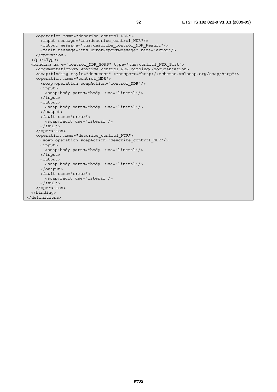```
 <operation name="describe_control_NDR"> 
    <input message="tns:describe_control_NDR"/> 
    <output message="tns:describe_control_NDR_Result"/> 
    <fault message="tns:ErrorReportMessage" name="error"/> 
 <binding name="control_NDR_SOAP" type="tns:control_NDR_Port"> 
  <documentation>TV Anytime control_NDR binding</documentation>
```
 </operation> </portType>

```
 <soap:binding style="document" transport="http://schemas.xmlsoap.org/soap/http"/> 
    <operation name="control_NDR"> 
      <soap:operation soapAction="control_NDR"/> 
      <input> 
        <soap:body parts="body" use="literal"/> 
      </input> 
      <output> 
        <soap:body parts="body" use="literal"/> 
      </output> 
      <fault name="error"> 
        <soap:fault use="literal"/> 
      </fault> 
    </operation> 
    <operation name="describe_control_NDR"> 
     -<br><soap:operation soapAction="describe control NDR"/>
      <input> 
       <soap:body parts="body" use="literal"/>
      </input> 
      <output> 
        <soap:body parts="body" use="literal"/> 
      </output> 
      <fault name="error"> 
        <soap:fault use="literal"/> 
      </fault> 
     </operation> 
   </binding> 
</definitions>
```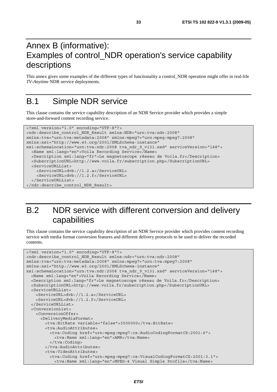# Annex B (informative): Examples of control\_NDR operation's service capability descriptions

This annex gives some examples of the different types of functionality a control\_NDR operation might offer in real*-*life *TV-Anytime* NDR service deployments.

# B.1 Simple NDR service

This clause contains the service capability description of an NDR Service provider which provides a simple store*-*and*-*forward content recording service.

```
<?xml version="1.0" encoding="UTF-8"?> 
<ndr:describe_control_NDR_Result xmlns:NDR="urn:tva:ndr:2008" 
xmlns:tva="urn:tva:metadata:2008" xmlns:mpeg7="urn:mpeg:mpeg7:2008" 
xmlns:xsi="http://www.w3.org/2001/XMLSchema-instance" 
xsi:schemaLocation="urn:tva:ndr:2008 tva_ndr_9_v131.xsd" serviceVersion="148"> 
   <Name xml:lang="en">Voila Recording Service</Name> 
   <Description xml:lang="fr">Le magnetoscope réseau de Voila.fr</Description> 
   <SubscriptionURL>http://www.voila.fr/subscription.php</SubscriptionURL> 
   <ServiceURLList> 
     <ServiceURL>dvb://1.2.a</ServiceURL> 
     <ServiceURL>dvb://1.2.f</ServiceURL> 
   </ServiceURLList> 
</ndr:describe_control_NDR_Result>
```
# B.2 NDR service with different conversion and delivery capabilities

This clause contains the service capability description of an NDR Service provider which provides content recording service with media format conversion features and different delivery protocols to be used to deliver the recorded contents.

```
<?xml version="1.0" encoding="UTF-8"?> 
<ndr:describe_control_NDR_Result xmlns:ndr="urn:tva:ndr:2008" 
xmlns:tva="urn:tva:metadata:2008" xmlns:mpeg7="urn:tva:mpeg7:2008" 
xmlns:xsi="http://www.w3.org/2001/XMLSchema-instance" 
xsi:schemaLocation="urn:tva:ndr:2008 tva_ndr_9_v131.xsd" serviceVersion="148"> 
   <Name xml:lang="en">Voila Recording Service</Name> 
   <Description xml:lang="fr">Le magnetoscope réseau de Voila.fr</Description> 
   <SubscriptionURL>http://www.voila.fr/subscription.php</SubscriptionURL> 
   <ServiceURLList> 
     <ServiceURL>dvb://1.2.a</ServiceURL> 
     <ServiceURL>dvb://1.2.f</ServiceURL> 
   </ServiceURLList> 
   <ConversionList> 
    <ConversionOffer> 
       <DeliveryMediaFormat> 
        <tva:BitRate variable="false">3500000</tva:BitRate> 
        <tva:AudioAttributes> 
          <tva:Coding href="urn:mpeg:mpeg7:cs:AudioCodingFormatCS:2001:6"> 
            <tva:Name xml:lang="en">AMR</tva:Name> 
           </tva:Coding> 
         </tva:AudioAttributes> 
         <tva:VideoAttributes> 
          <tva:Coding href="urn:mpeg:mpeg7:cs:VisualCodingFormatCS:2001:3.1"> 
            <tva:Name xml:lang="en">MPEG-4 Visual Simple Profile</tva:Name>
```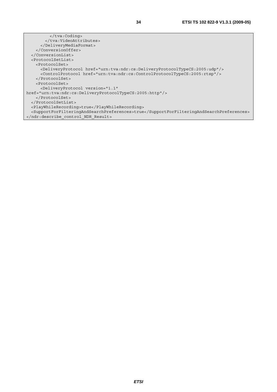</tva:Coding> </tva:VideoAttributes> </DeliveryMediaFormat> </ConversionOffer> </ConversionList> <ProtocolSetList> <ProtocolSet> <DeliveryProtocol href="urn:tva:ndr:cs:DeliveryProtocolTypeCS:2005:udp"/> <ControlProtocol href="urn:tva:ndr:cs:ControlProtocolTypeCS:2005:rtsp"/> </ProtocolSet> <ProtocolSet> <DeliveryProtocol version="1.1" href="urn:tva:ndr:cs:DeliveryProtocolTypeCS:2005:http"/> </ProtocolSet> </ProtocolSetList> <PlayWhileRecording>true</PlayWhileRecording> <SupportForFilteringAndSearchPreferences>true</SupportForFilteringAndSearchPreferences> </ndr:describe\_control\_NDR\_Result>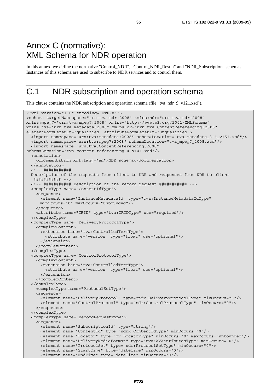## Annex C (normative): XML Schema for NDR operation

In this annex, we define the normative "Control\_NDR", "Control\_NDR\_Result" and "NDR\_Subscription" schemas. Instances of this schema are used to subscribe to NDR services and to control them.

# C.1 NDR subscription and operation schema

This clause contains the NDR subscription and operation schema (file "tva\_ndr\_9\_v121.xsd").

```
<?xml version="1.0" encoding="UTF-8"?> 
<schema targetNamespace="urn:tva:ndr:2008" xmlns:ndr="urn:tva:ndr:2008" 
xmlns:mpeg7="urn:tva:mpeg7:2008" xmlns="http://www.w3.org/2001/XMLSchema" 
xmlns:tva="urn:tva:metadata:2008" xmlns:cr="urn:tva:ContentReferencing:2008" 
elementFormDefault="qualified" attributeFormDefault="unqualified"> 
  <import namespace="urn:tva:metadata:2008" schemaLocation="tva_metadata_3-1_v151.xsd"/> 
  <import namespace="urn:tva:mpeg7:2008" schemaLocation="tva_mpeg7_2008.xsd"/> 
   <import namespace="urn:tva:ContentReferencing:2008" 
schemaLocation="tva_content_referencing_4_v141.xsd"/> 
   <annotation> 
    <documentation xml:lang="en">NDR schema</documentation> 
   </annotation> 
   <!-- ########### 
  Description of the requests from client to NDR and responses from NDR to client 
   ########### --> 
   <!-- ########### Description of the record request ########### --> 
   <complexType name="ContentIdType"> 
    <sequence> 
      <element name="InstanceMetadataId" type="tva:InstanceMetadataIdType" 
      minOccurs="0" maxOccurs="unbounded"/> 
    </sequence> 
    <attribute name="CRID" type="tva:CRIDType" use="required"/> 
   </complexType> 
   <complexType name="DeliveryProtocolType"> 
    <complexContent> 
      <extension base="tva:ControlledTermType"> 
        <attribute name="version" type="float" use="optional"/> 
       </extension> 
    </complexContent> 
   </complexType> 
   <complexType name="ControlProtocolType"> 
    <complexContent> 
      <extension base="tva:ControlledTermType"> 
         <attribute name="version" type="float" use="optional"/> 
       </extension> 
     </complexContent> 
   </complexType> 
    <complexType name="ProtocolSetType"> 
    <sequence> 
      <element name="DeliveryProtocol" type="ndr:DeliveryProtocolType" minOccurs="0"/> 
       <element name="ControlProtocol" type="ndr:ControlProtocolType" minOccurs="0"/> 
     </sequence> 
   </complexType> 
   <complexType name="RecordRequestType"> 
     <sequence> 
      <element name="SubscriptionId" type="string"/> 
       <element name="ContentId" type="ndrR:ContentIdType" minOccurs="0"/> 
      <element name="Locator" type="cr:LocatorType" minOccurs="0" maxOccurs="unbounded"/> 
      <element name="DeliveryMediaFormat" type="tva:AVAttributesType" minOccurs="0"/> 
      <element name="ProtocolSet" type="ndr:ProtocolSetType" minOccurs="0"/> 
      <element name="StartTime" type="dateTime" minOccurs="0"/> 
       <element name="EndTime" type="dateTime" minOccurs="0"/>
```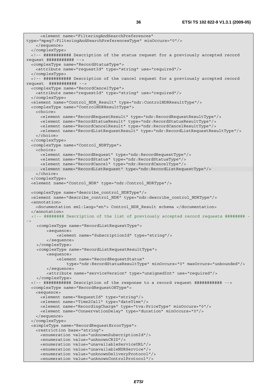```
 <element name="FilteringAndSearchPreferences" 
type="mpeg7:FilteringAndSearchPreferencesType" minOccurs="0"/> 
    </sequence> 
  </complexType> 
  <!-- ########### Description of the status request for a previously accepted record 
request ########### --> 
  <complexType name="RecordStatusType"> 
    <attribute name="requestId" type="string" use="required"/> 
  </complexType> 
  <!-- ########### Description of the cancel request for a previously accepted record 
request ########### --> 
  <complexType name="RecordCancelType"> 
    <attribute name="requestId" type="string" use="required"/> 
  </complexType> 
  <element name="Control_NDR_Result" type="ndr:ControlNDRResultType"/> 
  <complexType name="ControlNDRResultType"> 
    <choice> 
      <element name="RecordRequestResult" type="ndr:RecordRequestResultType"/> 
      <element name="RecordStatusResult" type="ndr:RecordStatusResultType"/> 
      <element name="RecordCancelResult" type="ndr:RecordCancelResultType"/> 
      <element name="RecordListRequestResult" type="ndr:RecordListRequestResultType"/> 
    </choice> 
   </complexType> 
  <complexType name="Control_NDRType"> 
    <choice> 
      <element name="RecordRequest" type="ndr:RecordRequestType"/> 
      <element name="RecordStatus" type="ndr:RecordStatusType"/> 
      <element name="RecordCancel" type="ndr:RecordCancelType"/> 
      <element name="RecordListRequest" type="ndr:RecordListRequestType"/> 
    </choice> 
   </complexType> 
  <element name="Control_NDR" type="ndr:Control_NDRType"/> 
  <complexType name="describe_control_NDRType"/> 
  <element name="describe_control_NDR" type="ndr:describe_control_NDRType"/> 
  <annotation> 
    <documentation xml:lang="en"> Control_NDR_Result schema </documentation> 
   </annotation> 
   <!-- ######## Description of the list of previously accepted record requests ######## -
->
     <complexType name="RecordListRequestType"> 
         <sequence> 
             <element name="SubscriptionId" type="string"/> 
         </sequence> 
     </complexType> 
     <complexType name="RecordListRequestResultType"> 
         <sequence> 
             <element name="RecordRequestStatus" 
                 type="ndr:RecordStatusResultType" minOccurs="0" maxOccurs="unbounded"/> 
         </sequence> 
         <attribute name="serviceVersion" type="unsignedInt" use="required"/> 
     </complexType> 
  <!-- ########### Description of the response to a record request ########### --> 
  <complexType name="RecordRequestOKType"> 
    <sequence> 
      <element name="RequestId" type="string"/> 
      <element name="Time2Call" type="dateTime"/> 
      <element name="RecordingCharge" type="tva:PriceType" minOccurs="0"/> 
      <element name="ConservationDelay" type="duration" minOccurs="0"/> 
    </sequence> 
   </complexType> 
  <simpleType name="RecordRequestErrorType"> 
    <restriction base="string"> 
      <enumeration value="unknownSubscriptionId"/> 
      <enumeration value="unknownCRID"/> 
      <enumeration value="unavailableServiceURL"/> 
      <enumeration value="unavailableNDRService"/> 
      <enumeration value="unknownDeliveryProtocol"/> 
      <enumeration value="unknownControlProtocol"/>
```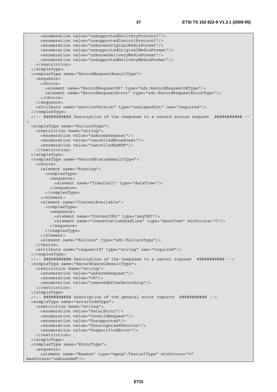```
 <enumeration value="unsupportedDeliveryProtocol"/> 
      <enumeration value="unsupportedControlProtocol"/> 
      <enumeration value="unknownOriginalMediaFormat"/> 
      <enumeration value="unsupportedOriginalMediaFormat"/> 
      <enumeration value="unknownDeliveryMediaFormat"/> 
       <enumeration value="unsupportedDeliveryMediaFormat"/> 
    </restriction> 
  </simpleType> 
  <complexType name="RecordRequestResultType"> 
    <sequence> 
      <choice> 
        <element name="RecordRequestOK" type="ndr:RecordRequestOKType"/> 
        <element name="RecordRequestError" type="ndr:RecordRequestErrorType"/> 
      </choice> 
    </sequence> 
     <attribute name="serviceVersion" type="unsignedInt" use="required"/> 
   </complexType> 
   <!-- ########### Description of the response to a record status request ########### --
\overline{ } <simpleType name="FailureType"> 
    <restriction base="string"> 
      <enumeration value="unknownRequest"/> 
      <enumeration value="cancelledBroadcast"/> 
      <enumeration value="cancelledByNDR"/> 
    </restriction> 
   </simpleType> 
   <complexType name="RecordStatusResultType"> 
     <choice> 
      <element name="Running"> 
        <complexType> 
          <sequence> 
            <element name="Time2Call" type="dateTime"/> 
           </sequence> 
        </complexType> 
      </element> 
       <element name="ContentAvailable"> 
        <complexType> 
          <sequence> 
             <element name="ContentURL" type="anyURI"/> 
             <element name="ConservationDeadline" type="dateTime" minOccurs="0"/> 
          </sequence> 
        </complexType> 
       </element> 
       <element name="Failure" type="ndr:FailureType"/> 
    </choice> 
    <attribute name="requestId" type="string" use="required"/> 
   </complexType> 
  <!-- ########### Description of the response to a cancel request ########### --> 
  <simpleType name="RecordCancelResultType"> 
    <restriction base="string"> 
      <enumeration value="unknownRequest"/> 
      <enumeration value="OK"/> 
      <enumeration value="removedAfterRecording"/> 
     </restriction> 
   </simpleType> 
   <!-- ########### Description of the general error reports ########### --> 
  <simpleType name="errorCodeType"> 
    <restriction base="string"> 
      <enumeration value="FatalError"/> 
      <enumeration value="InvalidRequest"/> 
      <enumeration value="Unsupported"/> 
      <enumeration value="UnrecognizedVersion"/> 
      <enumeration value="UnspecifiedError"/> 
    </restriction> 
   </simpleType> 
   <complexType name="ErrorType"> 
     <sequence> 
      <element name="Reason" type="mpeg7:TextualType" minOccurs="0" 
maxOccurs="unbounded"/>
```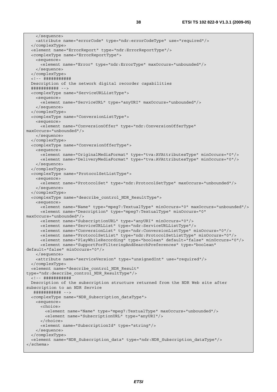```
 </sequence> 
     <attribute name="errorCode" type="ndr:errorCodeType" use="required"/> 
   </complexType> 
   <element name="ErrorReport" type="ndr:ErrorReportType"/> 
   <complexType name="ErrorReportType"> 
     <sequence> 
      <element name="Error" type="ndr:ErrorType" maxOccurs="unbounded"/> 
     </sequence> 
   </complexType> 
   <!-- ########### 
  Description of the network digital recorder capabilities 
   ########### --> 
   <complexType name="ServiceURLListType"> 
    <sequence> 
      <element name="ServiceURL" type="anyURI" maxOccurs="unbounded"/> 
     </sequence> 
   </complexType> 
   <complexType name="ConversionListType"> 
     <sequence> 
      <element name="ConversionOffer" type="ndr:ConversionOfferType" 
maxOccurs="unbounded"/> 
     </sequence> 
   </complexType> 
   <complexType name="ConversionOfferType"> 
     <sequence> 
      <element name="OriginalMediaFormat" type="tva:AVAttributesType" minOccurs="0"/> 
       <element name="DeliveryMediaFormat" type="tva:AVAttributesType" minOccurs="0"/> 
     </sequence> 
   </complexType> 
   <complexType name="ProtocolSetListType"> 
    <sequence> 
      <element name="ProtocolSet" type="ndr:ProtocolSetType" maxOccurs="unbounded"/> 
     </sequence> 
   </complexType> 
   <complexType name="describe_control_NDR_ResultType"> 
     <sequence> 
      <element name="Name" type="mpeg7:TextualType" minOccurs="0" maxOccurs="unbounded"/> 
      <element name="Description" type="mpeg7:TextualType" minOccurs="0" 
maxOccurs="unbounded"/> 
      <element name="SubscriptionURL" type="anyURI" minOccurs="0"/> 
      <element name="ServiceURLList" type="ndr:ServiceURLListType"/> 
      <element name="ConversionList" type="ndr:ConversionListType" minOccurs="0"/> 
      <element name="ProtocolSetList" type="ndr:ProtocolSetListType" minOccurs="0"/> 
      <element name="PlayWhileRecording" type="boolean" default="false" minOccurs="0"/> 
      <element name="SupportForFilteringAndSearchPreferences" type="boolean" 
default="false" minOccurs="0"/> 
     </sequence> 
     <attribute name="serviceVersion" type="unsignedInt" use="required"/> 
   </complexType> 
   <element name="describe_control_NDR_Result" 
type="ndr:describe_control_NDR_ResultType"/> 
   <!-- ########### 
  Description of the subscription structure returned from the NDR Web site after 
subscription to an NDR Service 
   ########### --> 
   <complexType name="NDR_Subscription_dataType"> 
    <sequence> 
      <choice> 
        <element name="Name" type="mpeg7:TextualType" maxOccurs="unbounded"/> 
         <element name="SubscriptionURL" type="anyURI"/> 
       </choice> 
      <element name="SubscriptionId" type="string"/> 
     </sequence> 
   </complexType> 
   <element name="NDR_Subscription_data" type="ndr:NDR_Subscription_dataType"/> 
</schema>
```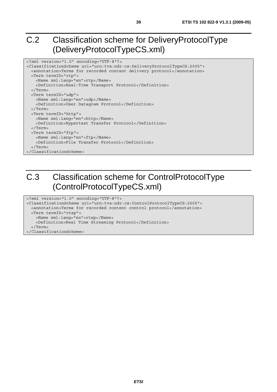# C.2 Classification scheme for DeliveryProtocolType (DeliveryProtocolTypeCS.xml)

```
<?xml version="1.0" encoding="UTF-8"?> 
<ClassificationScheme uri="urn:tva:ndr:cs:DeliveryProtocolTypeCS:2005"> 
  <annotation>Terms for recorded content delivery protocol</annotation> 
  <Term termID="rtp"> 
    <Name xml:lang="en">rtp</Name> 
    <Definition>Real-Time Transport Protocol</Definition> 
   </Term> 
  <Term termID="udp"> 
    <Name xml:lang="en">udp</Name> 
     <Definition>User Datagram Protocol</Definition> 
  </Term> 
  <Term termID="http"> 
    <Name xml:lang="en">http</Name> 
    <Definition>Hypertext Transfer Protocol</Definition> 
  </Term> 
  <Term termID="ftp"> 
    <Name xml:lang="en">ftp</Name> 
    <Definition>File Transfer Protocol</Definition> 
   </Term> 
</ClassificationScheme>
```
# C.3 Classification scheme for ControlProtocolType (ControlProtocolTypeCS.xml)

```
<?xml version="1.0" encoding="UTF-8"?> 
<ClassificationScheme uri="urn:tva:ndr:cs:ControlProtocolTypeCS:2005"> 
  <annotation>Terms for recorded content control protocol</annotation> 
  <Term termID="rtsp"> 
    <Name xml:lang="en">rtsp</Name> 
    <Definition>Real Time Streaming Protocol</Definition> 
   </Term> 
</ClassificationScheme>
```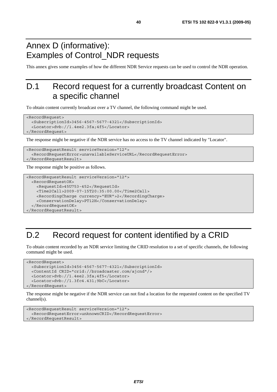# Annex D (informative): Examples of Control\_NDR requests

This annex gives some examples of how the different NDR Service requests can be used to control the NDR operation.

# D.1 Record request for a currently broadcast Content on a specific channel

To obtain content currently broadcast over a TV channel, the following command might be used.

```
<RecordRequest> 
   <SubscriptionId>3456-4567-5677-4321</SubscriptionId> 
   <Locator>dvb://1.4ee2.3fa;4f5</Locator> 
</RecordRequest>
```
The response might be negative if the NDR service has no access to the TV channel indicated by "Locator".

```
<RecordRequestResult serviceVersion="12"> 
   <RecordRequestError>unavailableServiceURL</RecordRequestError> 
</RecordRequestResult>
```
The response might be positive as follows.

```
<RecordRequestResult serviceVersion="12"> 
  <RecordRequestOK> 
     <RequestId>45U753-452</RequestId> 
     <Time2Call>2009-07-15T20:35:00.00</Time2Call> 
     <RecordingCharge currency="EUR">2</RecordingCharge> 
     <ConservationDelay>PT12H</ConservationDelay> 
   </RecordRequestOK> 
</RecordRequestResult>
```
# D.2 Record request for content identified by a CRID

To obtain content recorded by an NDR service limiting the CRID resolution to a set of specific channels, the following command might be used.

```
<RecordRequest> 
   <SubscriptionId>3456-4567-5677-4321</SubscriptionId> 
   <ContentId CRID="crid://broadcaster.com/ajcnd"/> 
   <Locator>dvb://1.4ee2.3fa;4f5</Locator> 
   <Locator>dvb://1.3fc4.431;9bC</Locator> 
</RecordRequest>
```
The response might be negative if the NDR service can not find a location for the requested content on the specified TV channel(s).

```
<RecordRequestResult serviceVersion="12"> 
   <RecordRequestError>unknownCRID</RecordRequestError> 
</RecordRequestResult>
```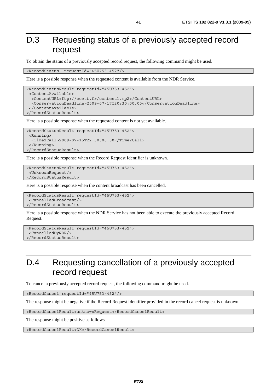# D.3 Requesting status of a previously accepted record request

To obtain the status of a previously accepted record request, the following command might be used.

<RecordStatus requestId="45U753-452"/>

Here is a possible response when the requested content is available from the NDR Service.

```
<RecordStatusResult requestId="45U753-452"> 
  <ContentAvailable> 
   <ContentURL>ftp://ccett.fr/content1.mp2</ContentURL> 
   <ConservationDeadline>2009-07-17T20:30:00.00</ConservationDeadline> 
  </ContentAvailable> 
</RecordStatusResult>
```
Here is a possible response when the requested content is not yet available.

```
<RecordStatusResult requestId="45U753-452"> 
  <Running> 
   <Time2Call>2009-07-15T22:30:00.00</Time2Call> 
  </Running> 
</RecordStatusResult>
```
Here is a possible response when the Record Request Identifier is unknown.

```
<RecordStatusResult requestId="45U753-452"> 
  <UnknownRequest/> 
</RecordStatusResult>
```
Here is a possible response when the content broadcast has been cancelled.

```
<RecordStatusResult requestId="45U753-452"> 
  <CancelledBroadcast/> 
</RecordStatusResult>
```
Here is a possible response when the NDR Service has not been able to execute the previously accepted Record Request.

```
<RecordStatusResult requestId="45U753-452"> 
  <CancelledByNDR/> 
</RecordStatusResult>
```
# D.4 Requesting cancellation of a previously accepted record request

To cancel a previously accepted record request, the following command might be used.

<RecordCancel requestId="45U753-452"/>

The response might be negative if the Record Request Identifier provided in the record cancel request is unknown.

<RecordCancelResult>unknownRequest</RecordCancelResult>

The response might be positive as follows.

<RecordCancelResult>OK</RecordCancelResult>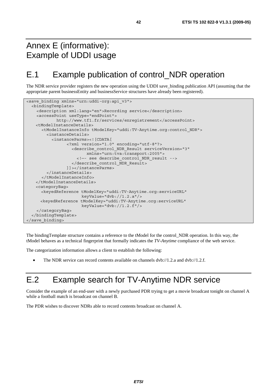# Annex E (informative): Example of UDDI usage

# E.1 Example publication of control\_NDR operation

The NDR service provider registers the new operation using the UDDI save\_binding publication API (assuming that the appropriate parent businessEntity and businessService structures have already been registered).

```
<save binding xmlns="urn:uddi-org:api v3">
   <bindingTemplate> 
     <description xml:lang="en">Recording service</description> 
     <accessPoint useType="endPoint"> 
             http://www.tf1.fr/services/enregistrement</accessPoint> 
    <tModelInstanceDetails> 
       <tModelInstanceInfo tModelKey="uddi:TV-Anytime.org:control_NDR"> 
         <instanceDetails> 
           <instanceParms><![CDATA[ 
                  <?xml version="1.0" encoding="utf-8"?> 
                    <describe_control_NDR_Result serviceVersion="3" 
                          xmlns="urn:tva:transport:2005"> 
                      <!—- see describe_control_NDR_result --> 
                    </describe_control_NDR_Result> 
                  ]]></instanceParms> 
         </instanceDetails> 
       </tModelInstanceInfo> 
    </tModelInstanceDetails> 
    <categoryBag> 
       <keyedReference tModelKey="uddi:TV-Anytime.org:serviceURL" 
                        keyValue="dvb://1.2.a"/> 
       <keyedReference tModelKey="uddi:TV-Anytime.org:serviceURL" 
                        keyValue="dvb://1.2.f"/> 
     </categoryBag> 
   </bindingTemplate> 
</save_binding>
```
The bindingTemplate structure contains a reference to the tModel for the control\_NDR operation. In this way, the tModel behaves as a technical fingerprint that formally indicates the *TV-Anytime* compliance of the web service.

The categorization information allows a client to establish the following:

• The NDR service can record contents available on channels dvb://1.2.a and dvb://1.2.f.

# E.2 Example search for TV-Anytime NDR service

Consider the example of an end-user with a newly purchased PDR trying to get a movie broadcast tonight on channel A while a football match is broadcast on channel B.

The PDR wishes to discover NDRs able to record contents broadcast on channel A.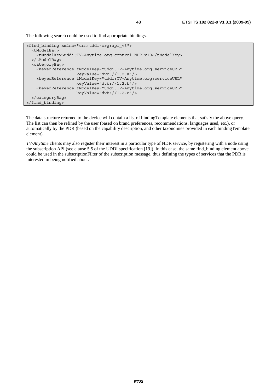The following search could be used to find appropriate bindings.

```
<find_binding xmlns="urn:uddi-org:api_v3"> 
   <tModelBag> 
     <tModelKey>uddi:TV-Anytime.org:control_NDR_v10</tModelKey> 
   </tModelBag> 
   <categoryBag> 
     <keyedReference tModelKey="uddi:TV-Anytime.org:serviceURL" 
                      keyValue="dvb://1.2.a"/> 
     <keyedReference tModelKey="uddi:TV-Anytime.org:serviceURL" 
                      keyValue="dvb://1.2.b"/> 
     <keyedReference tModelKey="uddi:TV-Anytime.org:serviceURL" 
                      keyValue="dvb://1.2.c"/> 
   </categoryBag> 
</find_binding>
```
The data structure returned to the device will contain a list of bindingTemplate elements that satisfy the above query. The list can then be refined by the user (based on brand preferences, recommendations, languages used, etc.), or automatically by the PDR (based on the capability description, and other taxonomies provided in each bindingTemplate element).

*TV-Anytime* clients may also register their interest in a particular type of NDR service, by registering with a node using the subscription API (see clause 5.5 of the UDDI specification [19]). In this case, the same find\_binding element above could be used in the subscriptionFilter of the subscription message, thus defining the types of services that the PDR is interested in being notified about.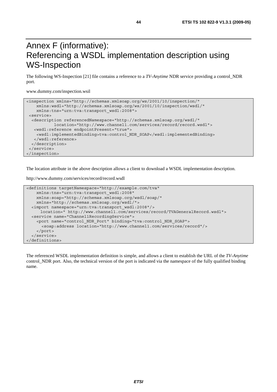# Annex F (informative): Referencing a WSDL implementation description using WS-Inspection

The following WS-Inspection [21] file contains a reference to a *TV-Anytime* NDR service providing a control\_NDR port.

www.dummy.com/inspection.wsil

```
<inspection xmlns="http://schemas.xmlsoap.org/ws/2001/10/inspection/" 
    xmlns:wsdl="http://schemas.xmlsoap.org/ws/2001/10/inspection/wsdl/" 
    xmlns:tns="urn:tva:transport_wsdl:2008"> 
 <service> 
   <description referencedNamespace="http://schemas.xmlsoap.org/wsdl/" 
            location="http://www.channel1.com/services/record/record.wsdl"> 
   <wsdl:reference endpointPresent="true"> 
    <wsdl:implementedBinding>tva:control_NDR_SOAP</wsdl:implementedBinding> 
    </wsdl:reference> 
  </description> 
  </service> 
</inspection>
```
The location attribute in the above description allows a client to download a WSDL implementation description.

http://www.dummy.com/services/record/record.wsdl

```
<definitions targetNamespace="http://example.com/tva" 
     xmlns:tns="urn:tva:transport_wsdl:2008" 
    xmlns:soap="http://schemas.xmlsoap.org/wsdl/soap/" 
     xmlns="http://schemas.xmlsoap.org/wsdl/"> 
   <import namespace="urn:tva:transport_wsdl:2008"/> 
      location=" http://www.channel1.com/services/record/TVAGeneralRecord.wsdl"> 
   <service name="Channel1RecordingService"> 
     <port name="control_NDR_Port" binding="tva:control_NDR_SOAP"> 
       <soap:address location="http://www.channel1.com/services/record"/> 
     </port> 
   </service> 
</definitions>
```
The referenced WSDL implementation definition is simple, and allows a client to establish the URL of the *TV-Anytime* control NDR port. Also, the technical version of the port is indicated via the namespace of the fully qualified binding name.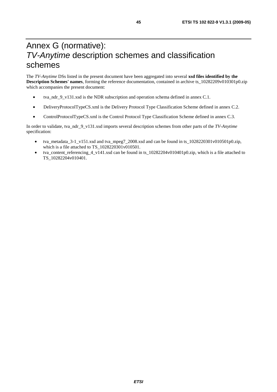# Annex G (normative): *TV-Anytime* description schemes and classification schemes

The *TV-Anytime* DSs listed in the present document have been aggregated into several **xsd files identified by the Description Schemes' names**, forming the reference documentation, contained in archive ts\_10282209v010301p0.zip which accompanies the present document:

- tva\_ndr\_9\_v131.xsd is the NDR subscription and operation schema defined in annex C.1.
- DeliveryProtocolTypeCS.xml is the Delivery Protocol Type Classification Scheme defined in annex C.2.
- ControlProtocolTypeCS.xml is the Control Protocol Type Classification Scheme defined in annex C.3.

In order to validate, tva\_ndr\_9\_v131.xsd imports several description schemes from other parts of the *TV-Anytime*  specification:

- tva\_metadata\_3-1\_v151.xsd and tva\_mpeg7\_2008.xsd and can be found in ts\_1028220301v010501p0.zip, which is a file attached to TS 1028220301v010501.
- tva\_content\_referencing\_4\_v141.xsd can be found in ts\_10282204v010401p0.zip, which is a file attached to TS\_10282204v010401.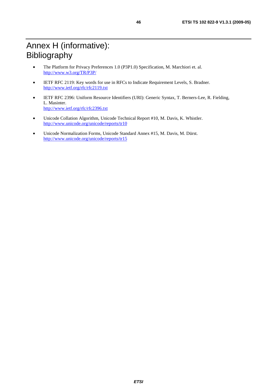- The Platform for Privacy Preferences 1.0 (P3P1.0) Specification, M. Marchiori et. al. <http://www.w3.org/TR/P3P/>
- IETF RFC 2119: Key words for use in RFCs to Indicate Requirement Levels, S. Bradner. <http://www.ietf.org/rfc/rfc2119.txt>
- IETF RFC 2396: Uniform Resource Identifiers (URI): Generic Syntax, T. Berners-Lee, R. Fielding, L. Masinter. <http://www.ietf.org/rfc/rfc2396.txt>
- Unicode Collation Algorithm, Unicode Technical Report #10, M. Davis, K. Whistler. <http://www.unicode.org/unicode/reports/tr10>
- Unicode Normalization Forms, Unicode Standard Annex #15, M. Davis, M. Dürst. <http://www.unicode.org/unicode/reports/tr15>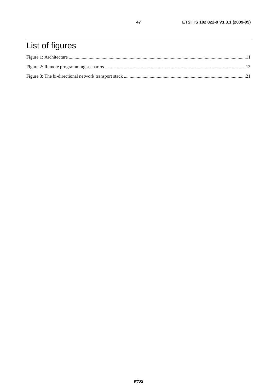# List of figures